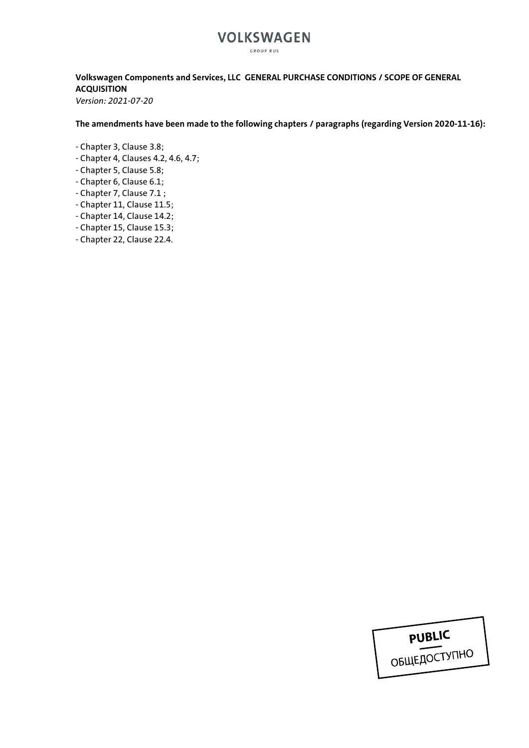### **VOLKSWAGEN** GROUP RUS

### **Volkswagen Components and Services, LLC GENERAL PURCHASE CONDITIONS / SCOPE OF GENERAL ACQUISITION**

*Version: 2021-07-20*

**The amendments have been made to the following chapters / paragraphs (regarding Version 2020-11-16):**

- Chapter 3, Clause 3.8;
- Chapter 4, Clauses 4.2, 4.6, 4.7;
- Chapter 5, Clause 5.8;
- Chapter 6, Clause 6.1;
- Chapter 7, Clause 7.1 ;
- Chapter 11, Clause 11.5;
- Chapter 14, Clause 14.2;
- Chapter 15, Clause 15.3;
- Chapter 22, Clause 22.4.

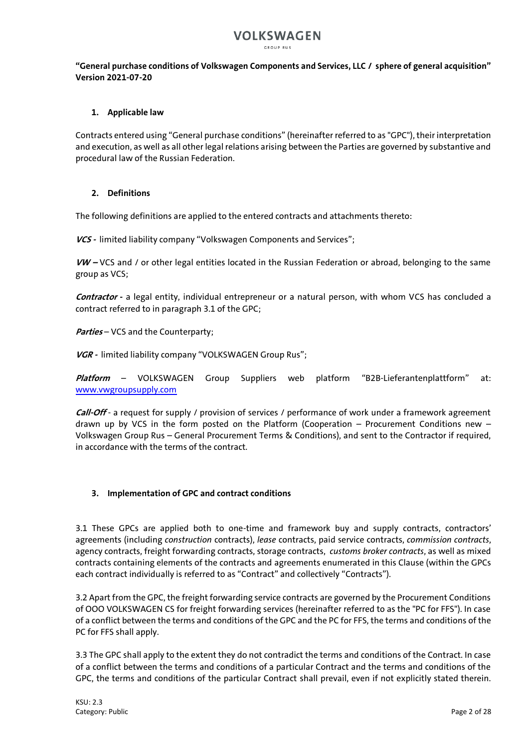GROUP RUS

### **"General purchase conditions of Volkswagen Components and Services, LLC / sphere of general acquisition" Version 2021-07-20**

### **1. Applicable law**

Contracts entered using "General purchase conditions" (hereinafter referred to as "GPC"), their interpretation and execution, as well as all other legal relations arising between the Parties are governed by substantive and procedural law of the Russian Federation.

### **2. Definitions**

The following definitions are applied to the entered contracts and attachments thereto:

**VCS -** limited liability company "Volkswagen Components and Services";

**VW –** VCS and / or other legal entities located in the Russian Federation or abroad, belonging to the same group as VCS;

**Contractor -** a legal entity, individual entrepreneur or a natural person, with whom VCS has concluded a contract referred to in paragraph 3.1 of the GPC;

**Parties** – VCS and the Counterparty;

**VGR -** limited liability company "VOLKSWAGEN Group Rus";

**Platform** – VOLKSWAGEN Group Suppliers web platform "B2B-Lieferantenplattform" at: [www.vwgroupsupply.com](http://www.vwgroupsupply.com/)

Call-Off - a request for supply / provision of services / performance of work under a framework agreement drawn up by VCS in the form posted on the Platform (Cooperation – Procurement Conditions new – Volkswagen Group Rus – General Procurement Terms & Conditions), and sent to the Contractor if required, in accordance with the terms of the contract.

### **3. Implementation of GPC and contract conditions**

3.1 These GPCs are applied both to one-time and framework buy and supply contracts, contractors' agreements (including *construction* contracts), *lease* contracts, paid service contracts, *commission contracts*, agency contracts, freight forwarding contracts, storage contracts, *customs broker contracts*, as well as mixed contracts containing elements of the contracts and agreements enumerated in this Clause (within the GPCs each contract individually is referred to as "Contract" and collectively "Contracts").

3.2 Apart from the GPC, the freight forwarding service contracts are governed by the Procurement Conditions of OOO VOLKSWAGEN CS for freight forwarding services (hereinafter referred to as the "PC for FFS"). In case of a conflict between the terms and conditions of the GPC and the PC for FFS, the terms and conditions of the PC for FFS shall apply.

3.3 The GPC shall apply to the extent they do not contradict the terms and conditions of the Contract. In case of a conflict between the terms and conditions of a particular Contract and the terms and conditions of the GPC, the terms and conditions of the particular Contract shall prevail, even if not explicitly stated therein.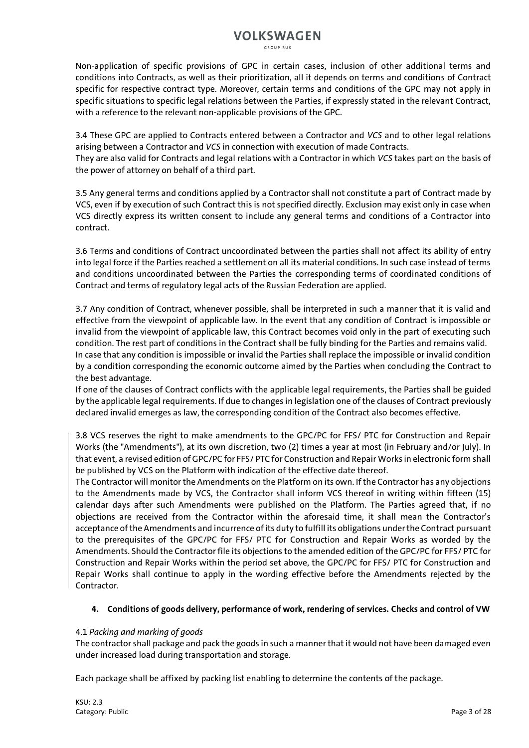GROUP RUS

Non-application of specific provisions of GPC in certain cases, inclusion of other additional terms and conditions into Contracts, as well as their prioritization, all it depends on terms and conditions of Contract specific for respective contract type. Moreover, certain terms and conditions of the GPC may not apply in specific situations to specific legal relations between the Parties, if expressly stated in the relevant Contract, with a reference to the relevant non-applicable provisions of the GPC.

3.4 These GPC are applied to Contracts entered between a Contractor and *VCS* and to other legal relations arising between a Contractor and *VCS* in connection with execution of made Contracts. They are also valid for Contracts and legal relations with a Contractor in which *VCS* takes part on the basis of the power of attorney on behalf of a third part.

3.5 Any general terms and conditions applied by a Contractor shall not constitute a part of Contract made by VCS, even if by execution of such Contract this is not specified directly. Exclusion may exist only in case when VCS directly express its written consent to include any general terms and conditions of a Contractor into contract.

3.6 Terms and conditions of Contract uncoordinated between the parties shall not affect its ability of entry into legal force if the Parties reached a settlement on all its material conditions. In such case instead of terms and conditions uncoordinated between the Parties the corresponding terms of coordinated conditions of Contract and terms of regulatory legal acts of the Russian Federation are applied.

3.7 Any condition of Contract, whenever possible, shall be interpreted in such a manner that it is valid and effective from the viewpoint of applicable law. In the event that any condition of Contract is impossible or invalid from the viewpoint of applicable law, this Contract becomes void only in the part of executing such condition. The rest part of conditions in the Contract shall be fully binding for the Parties and remains valid. In case that any condition is impossible or invalid the Parties shall replace the impossible or invalid condition by a condition corresponding the economic outcome aimed by the Parties when concluding the Contract to the best advantage.

If one of the clauses of Contract conflicts with the applicable legal requirements, the Parties shall be guided by the applicable legal requirements. If due to changes in legislation one of the clauses of Contract previously declared invalid emerges as law, the corresponding condition of the Contract also becomes effective.

3.8 VCS reserves the right to make amendments to the GPC/PC for FFS/ PTC for Construction and Repair Works (the "Amendments"), at its own discretion, two (2) times a year at most (in February and/or July). In that event, a revised edition of GPC/PC for FFS/ PTC for Construction and Repair Works in electronic form shall be published by VCS on the Platform with indication of the effective date thereof.

The Contractor will monitor the Amendments on the Platform on its own. If the Contractor has any objections to the Amendments made by VCS, the Contractor shall inform VCS thereof in writing within fifteen (15) calendar days after such Amendments were published on the Platform. The Parties agreed that, if no objections are received from the Contractor within the aforesaid time, it shall mean the Contractor's acceptance of the Amendments and incurrence of its duty to fulfill its obligations under the Contract pursuant to the prerequisites of the GPC/PC for FFS/ PTC for Construction and Repair Works as worded by the Amendments. Should the Contractor file its objections to the amended edition of the GPC/PC for FFS/ PTC for Construction and Repair Works within the period set above, the GPC/PC for FFS/ PTC for Construction and Repair Works shall continue to apply in the wording effective before the Amendments rejected by the Contractor.

### **4. Conditions of goods delivery, performance of work, rendering of services. Checks and control of VW**

### 4.1 *Packing and marking of goods*

The contractor shall package and pack the goods in such a manner that it would not have been damaged even under increased load during transportation and storage.

Each package shall be affixed by packing list enabling to determine the contents of the package.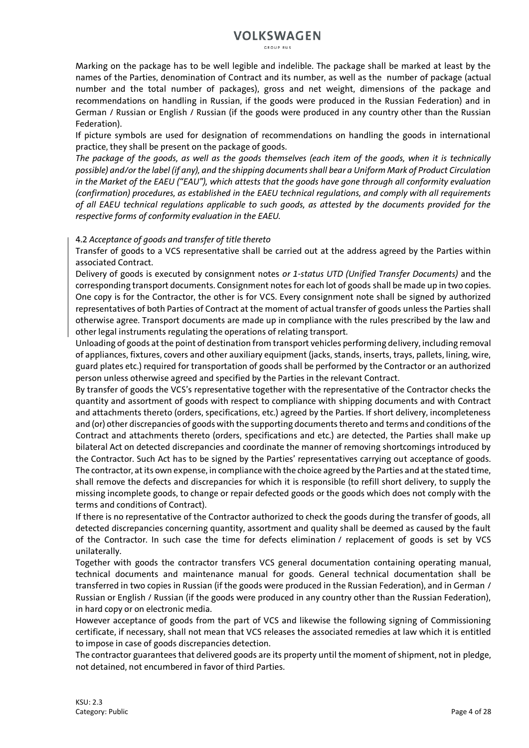GROUP RUS

Marking on the package has to be well legible and indelible. The package shall be marked at least by the names of the Parties, denomination of Contract and its number, as well as the number of package (actual number and the total number of packages), gross and net weight, dimensions of the package and recommendations on handling in Russian, if the goods were produced in the Russian Federation) and in German / Russian or English / Russian (if the goods were produced in any country other than the Russian Federation).

If picture symbols are used for designation of recommendations on handling the goods in international practice, they shall be present on the package of goods.

*The package of the goods, as well as the goods themselves (each item of the goods, when it is technically possible) and/or the label (if any), and the shipping documents shall bear a Uniform Mark of Product Circulation in the Market of the EAEU ("EAU"), which attests that the goods have gone through all conformity evaluation (confirmation) procedures, as established in the EAEU technical regulations, and comply with all requirements of all EAEU technical regulations applicable to such goods, as attested by the documents provided for the respective forms of conformity evaluation in the EAEU.*

#### 4.2 *Acceptance of goods and transfer of title thereto*

Transfer of goods to a VCS representative shall be carried out at the address agreed by the Parties within associated Contract.

Delivery of goods is executed by consignment notes *or 1-status UTD (Unified Transfer Documents)* and the corresponding transport documents. Consignment notes for each lot of goods shall be made up in two copies. One copy is for the Contractor, the other is for VCS. Every consignment note shall be signed by authorized representatives of both Parties of Contract at the moment of actual transfer of goods unless the Parties shall otherwise agree. Transport documents are made up in compliance with the rules prescribed by the law and other legal instruments regulating the operations of relating transport.

Unloading of goods at the point of destination from transport vehicles performing delivery, including removal of appliances, fixtures, covers and other auxiliary equipment (jacks, stands, inserts, trays, pallets, lining, wire, guard plates etc.) required for transportation of goods shall be performed by the Contractor or an authorized person unless otherwise agreed and specified by the Parties in the relevant Contract.

By transfer of goods the VCS's representative together with the representative of the Contractor checks the quantity and assortment of goods with respect to compliance with shipping documents and with Contract and attachments thereto (orders, specifications, etc.) agreed by the Parties. If short delivery, incompleteness and (or) other discrepancies of goods with the supporting documents thereto and terms and conditions of the Contract and attachments thereto (orders, specifications and etc.) are detected, the Parties shall make up bilateral Act on detected discrepancies and coordinate the manner of removing shortcomings introduced by the Contractor. Such Act has to be signed by the Parties' representatives carrying out acceptance of goods. The contractor, at its own expense, in compliance with the choice agreed by the Parties and at the stated time, shall remove the defects and discrepancies for which it is responsible (to refill short delivery, to supply the missing incomplete goods, to change or repair defected goods or the goods which does not comply with the terms and conditions of Contract).

If there is no representative of the Contractor authorized to check the goods during the transfer of goods, all detected discrepancies concerning quantity, assortment and quality shall be deemed as caused by the fault of the Contractor. In such case the time for defects elimination / replacement of goods is set by VCS unilaterally.

Together with goods the contractor transfers VCS general documentation containing operating manual, technical documents and maintenance manual for goods. General technical documentation shall be transferred in two copies in Russian (if the goods were produced in the Russian Federation), and in German / Russian or English / Russian (if the goods were produced in any country other than the Russian Federation), in hard copy or on electronic media.

However acceptance of goods from the part of VCS and likewise the following signing of Commissioning certificate, if necessary, shall not mean that VCS releases the associated remedies at law which it is entitled to impose in case of goods discrepancies detection.

The contractor guarantees that delivered goods are its property until the moment of shipment, not in pledge, not detained, not encumbered in favor of third Parties.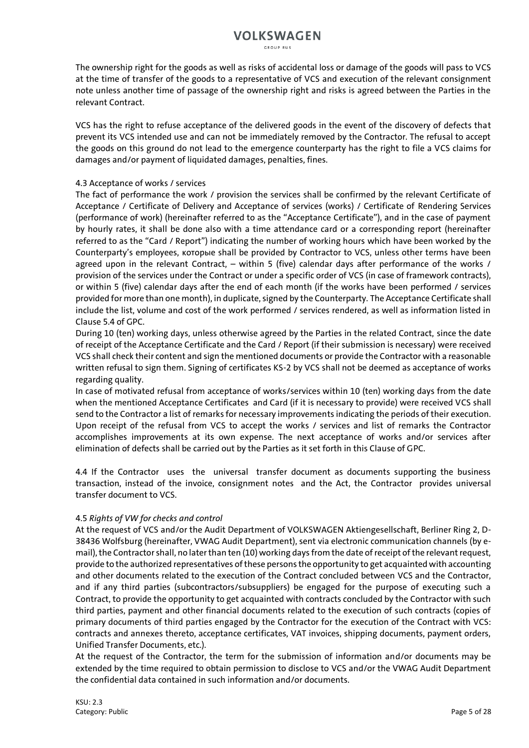The ownership right for the goods as well as risks of accidental loss or damage of the goods will pass to VCS at the time of transfer of the goods to a representative of VCS and execution of the relevant consignment note unless another time of passage of the ownership right and risks is agreed between the Parties in the relevant Contract.

VCS has the right to refuse acceptance of the delivered goods in the event of the discovery of defects that prevent its VCS intended use and can not be immediately removed by the Contractor. The refusal to accept the goods on this ground do not lead to the emergence counterparty has the right to file a VCS claims for damages and/or payment of liquidated damages, penalties, fines.

### 4.3 Acceptance of works / services

The fact of performance the work / provision the services shall be confirmed by the relevant Certificate of Acceptance / Certificate of Delivery and Acceptance of services (works) / Certificate of Rendering Services (performance of work) (hereinafter referred to as the "Acceptance Certificate"), and in the case of payment by hourly rates, it shall be done also with a time attendance card or a corresponding report (hereinafter referred to as the "Card / Report") indicating the number of working hours which have been worked by the Counterparty's employees, которые shall be provided by Contractor to VCS, unless other terms have been agreed upon in the relevant Contract, – within 5 (five) calendar days after performance of the works / provision of the services under the Contract or under a specific order of VCS (in case of framework contracts), or within 5 (five) calendar days after the end of each month (if the works have been performed / services provided for more than one month), in duplicate, signed by the Counterparty. The Acceptance Certificate shall include the list, volume and cost of the work performed / services rendered, as well as information listed in Clause 5.4 of GPC.

During 10 (ten) working days, unless otherwise agreed by the Parties in the related Contract, since the date of receipt of the Acceptance Certificate and the Card / Report (if their submission is necessary) were received VCS shall check their content and sign the mentioned documents or provide the Contractor with a reasonable written refusal to sign them. Signing of certificates KS-2 by VCS shall not be deemed as acceptance of works regarding quality.

In case of motivated refusal from acceptance of works/services within 10 (ten) working days from the date when the mentioned Acceptance Certificates and Card (if it is necessary to provide) were received VCS shall send to the Contractor a list of remarks for necessary improvements indicating the periods of their execution. Upon receipt of the refusal from VCS to accept the works / services and list of remarks the Contractor accomplishes improvements at its own expense. The next acceptance of works and/or services after elimination of defects shall be carried out by the Parties as it set forth in this Clause of GPC.

4.4 If the Contractor uses the universal transfer document as documents supporting the business transaction, instead of the invoice, consignment notes and the Act, the Contractor provides universal transfer document to VCS.

### 4.5 *Rights of VW for checks and control*

At the request of VCS and/or the Audit Department of VOLKSWAGEN Aktiengesellschaft, Berliner Ring 2, D-38436 Wolfsburg (hereinafter, VWAG Audit Department), sent via electronic communication channels (by email), the Contractor shall, no later than ten (10) working days from the date of receipt of the relevant request, provide to the authorized representatives of these persons the opportunity to get acquainted with accounting and other documents related to the execution of the Contract concluded between VCS and the Contractor, and if any third parties (subcontractors/subsuppliers) be engaged for the purpose of executing such a Contract, to provide the opportunity to get acquainted with contracts concluded by the Contractor with such third parties, payment and other financial documents related to the execution of such contracts (copies of primary documents of third parties engaged by the Contractor for the execution of the Contract with VCS: contracts and annexes thereto, acceptance certificates, VAT invoices, shipping documents, payment orders, Unified Transfer Documents, etc.).

At the request of the Contractor, the term for the submission of information and/or documents may be extended by the time required to obtain permission to disclose to VCS and/or the VWAG Audit Department the confidential data contained in such information and/or documents.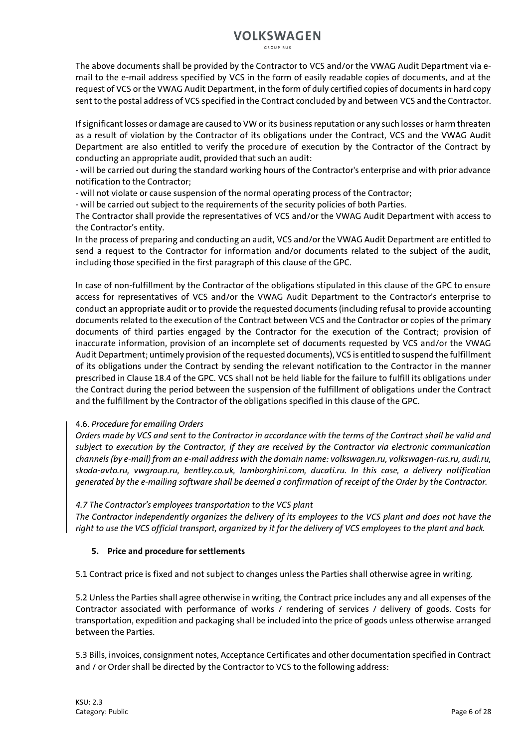GROUP RUS

The above documents shall be provided by the Contractor to VCS and/or the VWAG Audit Department via email to the e-mail address specified by VCS in the form of easily readable copies of documents, and at the request of VCS or the VWAG Audit Department, in the form of duly certified copies of documents in hard copy sent to the postal address of VCS specified in the Contract concluded by and between VCS and the Contractor.

If significant losses or damage are caused to VW or its business reputation or any such losses or harm threaten as a result of violation by the Contractor of its obligations under the Contract, VCS and the VWAG Audit Department are also entitled to verify the procedure of execution by the Contractor of the Contract by conducting an appropriate audit, provided that such an audit:

- will be carried out during the standard working hours of the Contractor's enterprise and with prior advance notification to the Contractor;

- will not violate or cause suspension of the normal operating process of the Contractor;

- will be carried out subject to the requirements of the security policies of both Parties.

The Contractor shall provide the representatives of VCS and/or the VWAG Audit Department with access to the Contractor's entity.

In the process of preparing and conducting an audit, VCS and/or the VWAG Audit Department are entitled to send a request to the Contractor for information and/or documents related to the subject of the audit, including those specified in the first paragraph of this clause of the GPC.

In case of non-fulfillment by the Contractor of the obligations stipulated in this clause of the GPC to ensure access for representatives of VCS and/or the VWAG Audit Department to the Contractor's enterprise to conduct an appropriate audit or to provide the requested documents (including refusal to provide accounting documents related to the execution of the Contract between VCS and the Contractor or copies of the primary documents of third parties engaged by the Contractor for the execution of the Contract; provision of inaccurate information, provision of an incomplete set of documents requested by VCS and/or the VWAG Audit Department; untimely provision of the requested documents), VCS is entitled to suspend the fulfillment of its obligations under the Contract by sending the relevant notification to the Contractor in the manner prescribed in Clause 18.4 of the GPC. VCS shall not be held liable for the failure to fulfill its obligations under the Contract during the period between the suspension of the fulfillment of obligations under the Contract and the fulfillment by the Contractor of the obligations specified in this clause of the GPC.

### 4.6. *Procedure for emailing Orders*

*Orders made by VCS and sent to the Contractor in accordance with the terms of the Contract shall be valid and subject to execution by the Contractor, if they are received by the Contractor via electronic communication channels (by e-mail) from an e-mail address with the domain name: volkswagen.ru, volkswagen-rus.ru, audi.ru, skoda-avto.ru, vwgroup.ru, bentley.co.uk, lamborghini.com, ducati.ru. In this case, a delivery notification generated by the e-mailing software shall be deemed a confirmation of receipt of the Order by the Contractor.*

### *4.7 The Contractor's employees transportation to the VCS plant*

*The Contractor independently organizes the delivery of its employees to the VCS plant and does not have the right to use the VCS official transport, organized by it for the delivery of VCS employees to the plant and back.*

### **5. Price and procedure for settlements**

5.1 Contract price is fixed and not subject to changes unless the Parties shall otherwise agree in writing.

5.2 Unless the Parties shall agree otherwise in writing, the Contract price includes any and all expenses of the Contractor associated with performance of works / rendering of services / delivery of goods. Costs for transportation, expedition and packaging shall be included into the price of goods unless otherwise arranged between the Parties.

5.3 Bills, invoices, consignment notes, Acceptance Certificates and other documentation specified in Contract and / or Order shall be directed by the Contractor to VCS to the following address: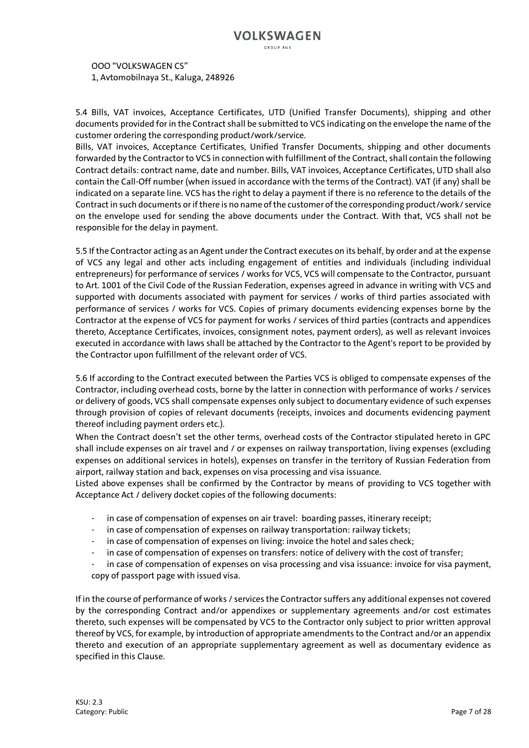CROUP RUS

OOO "VOLKSWAGEN CS" 1, Avtomobilnaya St., Kaluga, 248926

5.4 Bills, VAT invoices, Acceptance Certificates, UTD (Unified Transfer Documents), shipping and other documents provided for in the Contract shall be submitted to VCS indicating on the envelope the name of the customer ordering the corresponding product/work/service.

Bills, VAT invoices, Acceptance Certificates, Unified Transfer Documents, shipping and other documents forwarded by the Contractor to VCS in connection with fulfillment of the Contract, shall contain the following Contract details: contract name, date and number. Bills, VAT invoices, Acceptance Certificates, UTD shall also contain the Call-Off number (when issued in accordance with the terms of the Contract). VAT (if any) shall be indicated on a separate line. VCS has the right to delay a payment if there is no reference to the details of the Contract in such documents or if there is no name of the customer of the corresponding product/work/ service on the envelope used for sending the above documents under the Contract. With that, VCS shall not be responsible for the delay in payment.

5.5 If the Contractor acting as an Agent under the Contract executes on its behalf, by order and at the expense of VCS any legal and other acts including engagement of entities and individuals (including individual entrepreneurs) for performance of services / works for VCS, VCS will compensate to the Contractor, pursuant to Art. 1001 of the Civil Code of the Russian Federation, expenses agreed in advance in writing with VCS and supported with documents associated with payment for services / works of third parties associated with performance of services / works for VCS. Copies of primary documents evidencing expenses borne by the Contractor at the expense of VCS for payment for works / services of third parties (contracts and appendices thereto, Acceptance Certificates, invoices, consignment notes, payment orders), as well as relevant invoices executed in accordance with laws shall be attached by the Contractor to the Agent's report to be provided by the Contractor upon fulfillment of the relevant order of VCS.

5.6 If according to the Contract executed between the Parties VCS is obliged to compensate expenses of the Contractor, including overhead costs, borne by the latter in connection with performance of works / services or delivery of goods, VCS shall compensate expenses only subject to documentary evidence of such expenses through provision of copies of relevant documents (receipts, invoices and documents evidencing payment thereof including payment orders etc.).

When the Contract doesn't set the other terms, overhead costs of the Contractor stipulated hereto in GPC shall include expenses on air travel and / or expenses on railway transportation, living expenses (excluding expenses on additional services in hotels), expenses on transfer in the territory of Russian Federation from airport, railway station and back, expenses on visa processing and visa issuance.

Listed above expenses shall be confirmed by the Contractor by means of providing to VCS together with Acceptance Act / delivery docket copies of the following documents:

- in case of compensation of expenses on air travel: boarding passes, itinerary receipt;
- in case of compensation of expenses on railway transportation: railway tickets;
- in case of compensation of expenses on living: invoice the hotel and sales check;
- in case of compensation of expenses on transfers: notice of delivery with the cost of transfer;
- in case of compensation of expenses on visa processing and visa issuance: invoice for visa payment, copy of passport page with issued visa.

If in the course of performance of works / services the Contractor suffers any additional expenses not covered by the corresponding Contract and/or appendixes or supplementary agreements and/or cost estimates thereto, such expenses will be compensated by VCS to the Contractor only subject to prior written approval thereof by VCS, for example, by introduction of appropriate amendments to the Contract and/or an appendix thereto and execution of an appropriate supplementary agreement as well as documentary evidence as specified in this Clause.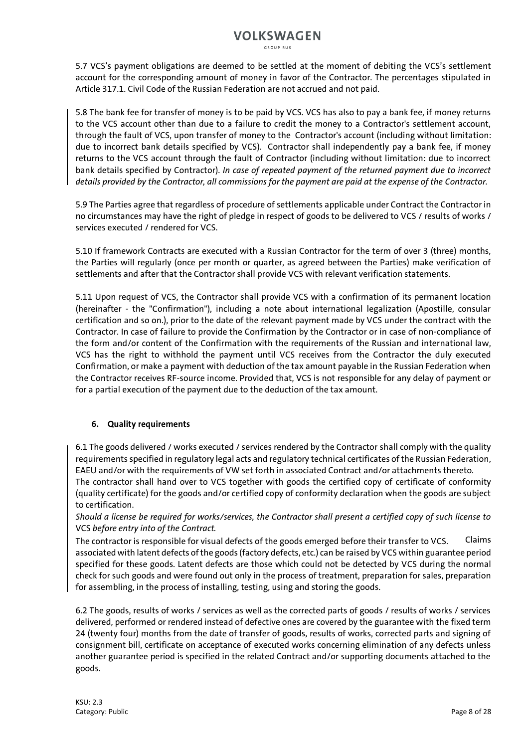5.7 VCS's payment obligations are deemed to be settled at the moment of debiting the VCS's settlement account for the corresponding amount of money in favor of the Contractor. The percentages stipulated in Article 317.1. Civil Code of the Russian Federation are not accrued and not paid.

5.8 The bank fee for transfer of money is to be paid by VCS. VCS has also to pay a bank fee, if money returns to the VCS account other than due to a failure to credit the money to a Contractor's settlement account, through the fault of VCS, upon transfer of money to the Contractor's account (including without limitation: due to incorrect bank details specified by VCS). Contractor shall independently pay a bank fee, if money returns to the VCS account through the fault of Contractor (including without limitation: due to incorrect bank details specified by Contractor). *In case of repeated payment of the returned payment due to incorrect details provided by the Contractor, all commissions for the payment are paid at the expense of the Contractor.*

5.9 The Parties agree that regardless of procedure of settlements applicable under Contract the Contractor in no circumstances may have the right of pledge in respect of goods to be delivered to VCS / results of works / services executed / rendered for VCS.

5.10 If framework Contracts are executed with a Russian Contractor for the term of over 3 (three) months, the Parties will regularly (once per month or quarter, as agreed between the Parties) make verification of settlements and after that the Contractor shall provide VCS with relevant verification statements.

5.11 Upon request of VCS, the Contractor shall provide VCS with a confirmation of its permanent location (hereinafter - the "Confirmation"), including a note about international legalization (Apostille, consular certification and so on.), prior to the date of the relevant payment made by VCS under the contract with the Contractor. In case of failure to provide the Confirmation by the Contractor or in case of non-compliance of the form and/or content of the Confirmation with the requirements of the Russian and international law, VCS has the right to withhold the payment until VCS receives from the Contractor the duly executed Confirmation, or make a payment with deduction of the tax amount payable in the Russian Federation when the Contractor receives RF-source income. Provided that, VCS is not responsible for any delay of payment or for a partial execution of the payment due to the deduction of the tax amount.

### **6. Quality requirements**

6.1 The goods delivered / works executed / services rendered by the Contractor shall comply with the quality requirements specified in regulatory legal acts and regulatory technical certificates of the Russian Federation, EAEU and/or with the requirements of VW set forth in associated Contract and/or attachments thereto.

The contractor shall hand over to VCS together with goods the certified copy of certificate of conformity (quality certificate) for the goods and/or certified copy of conformity declaration when the goods are subject to certification.

*Should a license be required for works/services, the Contractor shall present a certified copy of such license to*  VCS *before entry into of the Contract.*

Claims associated with latent defects of the goods (factory defects, etc.) can be raised by VCS within guarantee period specified for these goods. Latent defects are those which could not be detected by VCS during the normal check for such goods and were found out only in the process of treatment, preparation for sales, preparation for assembling, in the process of installing, testing, using and storing the goods. The contractor is responsible for visual defects of the goods emerged before their transfer to VCS.

6.2 The goods, results of works / services as well as the corrected parts of goods / results of works / services delivered, performed or rendered instead of defective ones are covered by the guarantee with the fixed term 24 (twenty four) months from the date of transfer of goods, results of works, corrected parts and signing of consignment bill, certificate on acceptance of executed works concerning elimination of any defects unless another guarantee period is specified in the related Contract and/or supporting documents attached to the goods.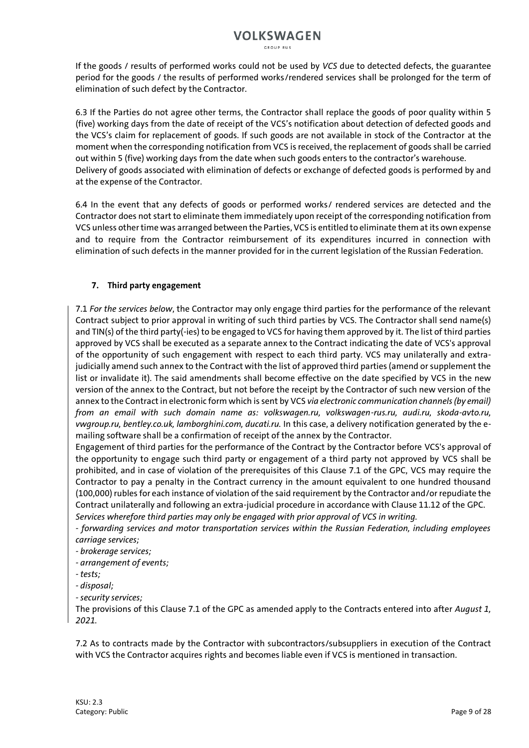If the goods / results of performed works could not be used by *VCS* due to detected defects, the guarantee period for the goods / the results of performed works/rendered services shall be prolonged for the term of elimination of such defect by the Contractor.

6.3 If the Parties do not agree other terms, the Contractor shall replace the goods of poor quality within 5 (five) working days from the date of receipt of the VCS's notification about detection of defected goods and the VCS's claim for replacement of goods. If such goods are not available in stock of the Contractor at the moment when the corresponding notification from VCS is received, the replacement of goods shall be carried out within 5 (five) working days from the date when such goods enters to the contractor's warehouse. Delivery of goods associated with elimination of defects or exchange of defected goods is performed by and at the expense of the Contractor.

6.4 In the event that any defects of goods or performed works/ rendered services are detected and the Contractor does not start to eliminate them immediately upon receipt of the corresponding notification from VCS unless other time was arranged between the Parties, VCS is entitled to eliminate them at its own expense and to require from the Contractor reimbursement of its expenditures incurred in connection with elimination of such defects in the manner provided for in the current legislation of the Russian Federation.

### **7. Third party engagement**

7.1 *For the services below*, the Contractor may only engage third parties for the performance of the relevant Contract subject to prior approval in writing of such third parties by VCS. The Contractor shall send name(s) and TIN(s) of the third party(-ies) to be engaged to VCS for having them approved by it. The list of third parties approved by VCS shall be executed as a separate annex to the Contract indicating the date of VCS's approval of the opportunity of such engagement with respect to each third party. VCS may unilaterally and extrajudicially amend such annex to the Contract with the list of approved third parties (amend or supplement the list or invalidate it). The said amendments shall become effective on the date specified by VCS in the new version of the annex to the Contract, but not before the receipt by the Contractor of such new version of the annex to the Contract in electronic form which is sent by VCS *via electronic communication channels (by email) from an email with such domain name as: volkswagen.ru, volkswagen-rus.ru, audi.ru, skoda-avto.ru, vwgroup.ru, bentley.co.uk, lamborghini.com, ducati.ru.* In this case, a delivery notification generated by the emailing software shall be a confirmation of receipt of the annex by the Contractor.

Engagement of third parties for the performance of the Contract by the Contractor before VCS's approval of the opportunity to engage such third party or engagement of a third party not approved by VCS shall be prohibited, and in case of violation of the prerequisites of this Clause 7.1 of the GPC, VCS may require the Contractor to pay a penalty in the Contract currency in the amount equivalent to one hundred thousand (100,000) rubles for each instance of violation of the said requirement by the Contractor and/or repudiate the Contract unilaterally and following an extra-judicial procedure in accordance with Clause 11.12 of the GPC. *Services wherefore third parties may only be engaged with prior approval of VCS in writing.*

*- forwarding services and motor transportation services within the Russian Federation, including employees* 

- *carriage services;*
- *- brokerage services;*
- *- arrangement of events;*
- *- tests;*
- *- disposal;*
- *- security services;*

The provisions of this Clause 7.1 of the GPC as amended apply to the Contracts entered into after *August 1, 2021.*

7.2 As to contracts made by the Contractor with subcontractors/subsuppliers in execution of the Contract with VCS the Contractor acquires rights and becomes liable even if VCS is mentioned in transaction.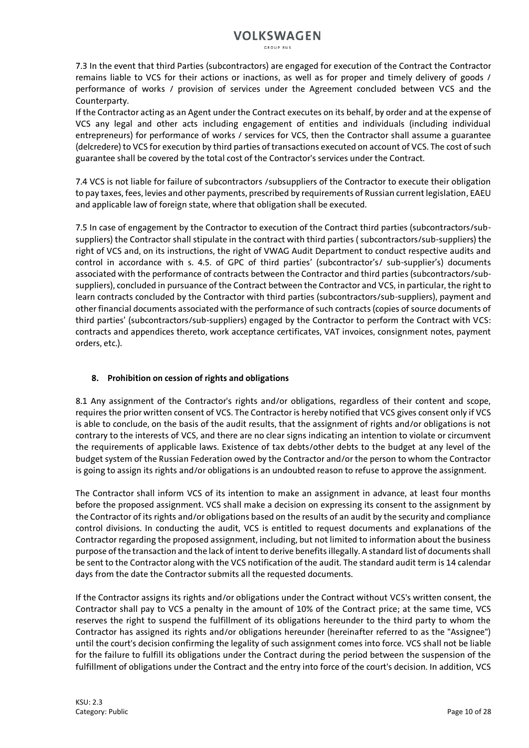GROUP RUS

7.3 In the event that third Parties (subcontractors) are engaged for execution of the Contract the Contractor remains liable to VCS for their actions or inactions, as well as for proper and timely delivery of goods / performance of works / provision of services under the Agreement concluded between VCS and the Counterparty.

If the Contractor acting as an Agent under the Contract executes on its behalf, by order and at the expense of VCS any legal and other acts including engagement of entities and individuals (including individual entrepreneurs) for performance of works / services for VCS, then the Contractor shall assume a guarantee (delcredere) to VCS for execution by third parties of transactions executed on account of VCS. The cost of such guarantee shall be covered by the total cost of the Contractor's services under the Contract.

7.4 VCS is not liable for failure of subcontractors /subsuppliers of the Contractor to execute their obligation to pay taxes, fees, levies and other payments, prescribed by requirements of Russian current legislation, EAEU and applicable law of foreign state, where that obligation shall be executed.

7.5 In case of engagement by the Contractor to execution of the Contract third parties (subcontractors/subsuppliers) the Contractor shall stipulate in the contract with third parties ( subcontractors/sub-suppliers) the right of VCS and, on its instructions, the right of VWAG Audit Department to conduct respective audits and control in accordance with s. 4.5. of GPC of third parties' (subcontractor's/ sub-supplier's) documents associated with the performance of contracts between the Contractor and third parties (subcontractors/subsuppliers), concluded in pursuance of the Contract between the Contractor and VCS, in particular, the right to learn contracts concluded by the Contractor with third parties (subcontractors/sub-suppliers), payment and other financial documents associated with the performance of such contracts (copies of source documents of third parties' (subcontractors/sub-suppliers) engaged by the Contractor to perform the Contract with VCS: contracts and appendices thereto, work acceptance certificates, VAT invoices, consignment notes, payment orders, etc.).

### **8. Prohibition on cession of rights and obligations**

8.1 Any assignment of the Contractor's rights and/or obligations, regardless of their content and scope, requires the prior written consent of VCS. The Contractor is hereby notified that VCS gives consent only if VCS is able to conclude, on the basis of the audit results, that the assignment of rights and/or obligations is not contrary to the interests of VCS, and there are no clear signs indicating an intention to violate or circumvent the requirements of applicable laws. Existence of tax debts/other debts to the budget at any level of the budget system of the Russian Federation owed by the Contractor and/or the person to whom the Contractor is going to assign its rights and/or obligations is an undoubted reason to refuse to approve the assignment.

The Contractor shall inform VCS of its intention to make an assignment in advance, at least four months before the proposed assignment. VCS shall make a decision on expressing its consent to the assignment by the Contractor of its rights and/or obligations based on the results of an audit by the security and compliance control divisions. In conducting the audit, VCS is entitled to request documents and explanations of the Contractor regarding the proposed assignment, including, but not limited to information about the business purpose of the transaction and the lack of intent to derive benefits illegally. A standard list of documents shall be sent to the Contractor along with the VCS notification of the audit. The standard audit term is 14 calendar days from the date the Contractor submits all the requested documents.

If the Contractor assigns its rights and/or obligations under the Contract without VCS's written consent, the Contractor shall pay to VCS a penalty in the amount of 10% of the Contract price; at the same time, VCS reserves the right to suspend the fulfillment of its obligations hereunder to the third party to whom the Contractor has assigned its rights and/or obligations hereunder (hereinafter referred to as the "Assignee") until the court's decision confirming the legality of such assignment comes into force. VCS shall not be liable for the failure to fulfill its obligations under the Contract during the period between the suspension of the fulfillment of obligations under the Contract and the entry into force of the court's decision. In addition, VCS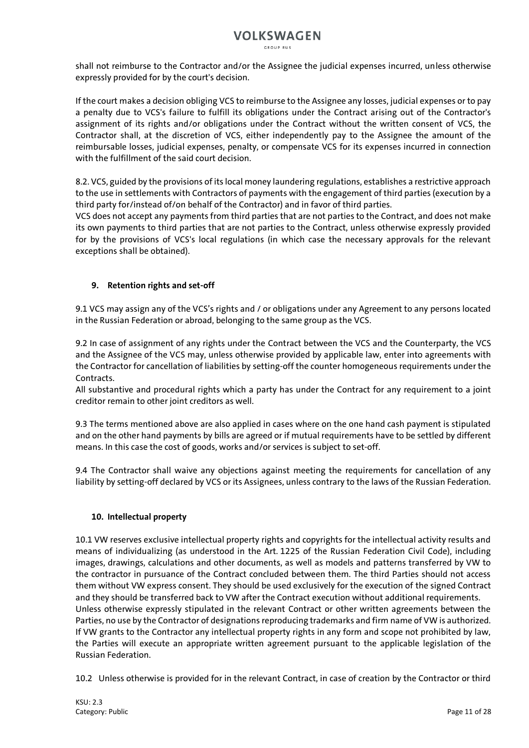shall not reimburse to the Contractor and/or the Assignee the judicial expenses incurred, unless otherwise expressly provided for by the court's decision.

If the court makes a decision obliging VCS to reimburse to the Assignee any losses, judicial expenses or to pay a penalty due to VCS's failure to fulfill its obligations under the Contract arising out of the Contractor's assignment of its rights and/or obligations under the Contract without the written consent of VCS, the Contractor shall, at the discretion of VCS, either independently pay to the Assignee the amount of the reimbursable losses, judicial expenses, penalty, or compensate VCS for its expenses incurred in connection with the fulfillment of the said court decision.

8.2. VCS, guided by the provisions of its local money laundering regulations, establishes a restrictive approach to the use in settlements with Contractors of payments with the engagement of third parties (execution by a third party for/instead of/on behalf of the Contractor) and in favor of third parties.

VCS does not accept any payments from third parties that are not parties to the Contract, and does not make its own payments to third parties that are not parties to the Contract, unless otherwise expressly provided for by the provisions of VCS's local regulations (in which case the necessary approvals for the relevant exceptions shall be obtained).

### **9. Retention rights and set-off**

9.1 VCS may assign any of the VCS's rights and / or obligations under any Agreement to any persons located in the Russian Federation or abroad, belonging to the same group as the VCS.

9.2 In case of assignment of any rights under the Contract between the VCS and the Counterparty, the VCS and the Assignee of the VCS may, unless otherwise provided by applicable law, enter into agreements with the Contractor for cancellation of liabilities by setting-off the counter homogeneous requirements under the Contracts.

All substantive and procedural rights which a party has under the Contract for any requirement to a joint creditor remain to other joint creditors as well.

9.3 The terms mentioned above are also applied in cases where on the one hand cash payment is stipulated and on the other hand payments by bills are agreed or if mutual requirements have to be settled by different means. In this case the cost of goods, works and/or services is subject to set-off.

9.4 The Contractor shall waive any objections against meeting the requirements for cancellation of any liability by setting-off declared by VCS or its Assignees, unless contrary to the laws of the Russian Federation.

### **10. Intellectual property**

10.1 VW reserves exclusive intellectual property rights and copyrights for the intellectual activity results and means of individualizing (as understood in the Art. 1225 of the Russian Federation Civil Code), including images, drawings, calculations and other documents, as well as models and patterns transferred by VW to the contractor in pursuance of the Contract concluded between them. The third Parties should not access them without VW express consent. They should be used exclusively for the execution of the signed Contract and they should be transferred back to VW after the Contract execution without additional requirements. Unless otherwise expressly stipulated in the relevant Contract or other written agreements between the

Parties, no use by the Contractor of designations reproducing trademarks and firm name of VW is authorized. If VW grants to the Contractor any intellectual property rights in any form and scope not prohibited by law, the Parties will execute an appropriate written agreement pursuant to the applicable legislation of the Russian Federation.

10.2 Unless otherwise is provided for in the relevant Contract, in case of creation by the Contractor or third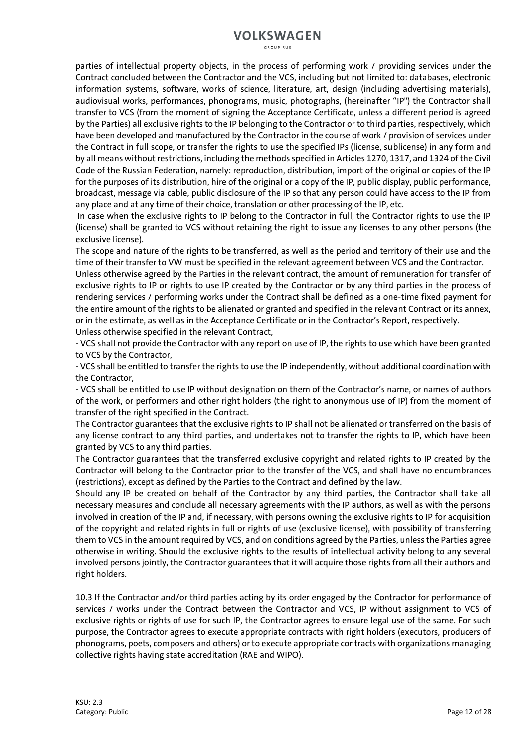parties of intellectual property objects, in the process of performing work / providing services under the Contract concluded between the Contractor and the VCS, including but not limited to: databases, electronic information systems, software, works of science, literature, art, design (including advertising materials), audiovisual works, performances, phonograms, music, photographs, (hereinafter "IP") the Contractor shall transfer to VCS (from the moment of signing the Acceptance Certificate, unless a different period is agreed by the Parties) all exclusive rights to the IP belonging to the Contractor or to third parties, respectively, which have been developed and manufactured by the Contractor in the course of work / provision of services under the Contract in full scope, or transfer the rights to use the specified IPs (license, sublicense) in any form and by all means without restrictions, including the methods specified in Articles 1270, 1317, and 1324 of the Civil Code of the Russian Federation, namely: reproduction, distribution, import of the original or copies of the IP for the purposes of its distribution, hire of the original or a copy of the IP, public display, public performance, broadcast, message via cable, public disclosure of the IP so that any person could have access to the IP from any place and at any time of their choice, translation or other processing of the IP, etc.

In case when the exclusive rights to IP belong to the Contractor in full, the Contractor rights to use the IP (license) shall be granted to VCS without retaining the right to issue any licenses to any other persons (the exclusive license).

The scope and nature of the rights to be transferred, as well as the period and territory of their use and the time of their transfer to VW must be specified in the relevant agreement between VCS and the Contractor. Unless otherwise agreed by the Parties in the relevant contract, the amount of remuneration for transfer of exclusive rights to IP or rights to use IP created by the Contractor or by any third parties in the process of rendering services / performing works under the Contract shall be defined as a one-time fixed payment for the entire amount of the rights to be alienated or granted and specified in the relevant Contract or its annex,

or in the estimate, as well as in the Acceptance Certificate or in the Contractor's Report, respectively.

Unless otherwise specified in the relevant Contract,

- VCS shall not provide the Contractor with any report on use of IP, the rights to use which have been granted to VCS by the Contractor,

- VCS shall be entitled to transfer the rights to use the IP independently, without additional coordination with the Contractor,

- VCS shall be entitled to use IP without designation on them of the Contractor's name, or names of authors of the work, or performers and other right holders (the right to anonymous use of IP) from the moment of transfer of the right specified in the Contract.

The Contractor guarantees that the exclusive rights to IP shall not be alienated or transferred on the basis of any license contract to any third parties, and undertakes not to transfer the rights to IP, which have been granted by VCS to any third parties.

The Contractor guarantees that the transferred exclusive copyright and related rights to IP created by the Contractor will belong to the Contractor prior to the transfer of the VCS, and shall have no encumbrances (restrictions), except as defined by the Parties to the Contract and defined by the law.

Should any IP be created on behalf of the Contractor by any third parties, the Contractor shall take all necessary measures and conclude all necessary agreements with the IP authors, as well as with the persons involved in creation of the IP and, if necessary, with persons owning the exclusive rights to IP for acquisition of the copyright and related rights in full or rights of use (exclusive license), with possibility of transferring them to VCS in the amount required by VCS, and on conditions agreed by the Parties, unless the Parties agree otherwise in writing. Should the exclusive rights to the results of intellectual activity belong to any several involved persons jointly, the Contractor guarantees that it will acquire those rights from all their authors and right holders.

10.3 If the Contractor and/or third parties acting by its order engaged by the Contractor for performance of services / works under the Contract between the Contractor and VCS, IP without assignment to VCS of exclusive rights or rights of use for such IP, the Contractor agrees to ensure legal use of the same. For such purpose, the Contractor agrees to execute appropriate contracts with right holders (executors, producers of phonograms, poets, composers and others) or to execute appropriate contracts with organizations managing collective rights having state accreditation (RAE and WIPO).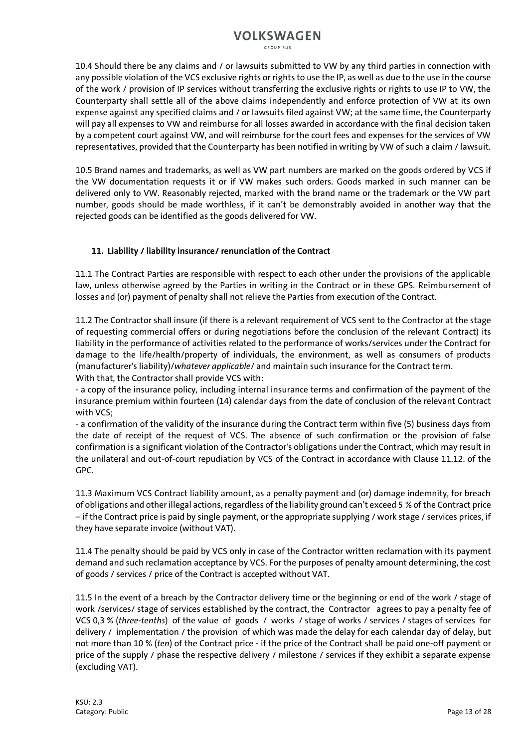GROUP RUS

10.4 Should there be any claims and / or lawsuits submitted to VW by any third parties in connection with any possible violation of the VCS exclusive rights or rights to use the IP, as well as due to the use in the course of the work / provision of IP services without transferring the exclusive rights or rights to use IP to VW, the Counterparty shall settle all of the above claims independently and enforce protection of VW at its own expense against any specified claims and / or lawsuits filed against VW; at the same time, the Counterparty will pay all expenses to VW and reimburse for all losses awarded in accordance with the final decision taken by a competent court against VW, and will reimburse for the court fees and expenses for the services of VW representatives, provided that the Counterparty has been notified in writing by VW of such a claim / lawsuit.

10.5 Brand names and trademarks, as well as VW part numbers are marked on the goods ordered by VCS if the VW documentation requests it or if VW makes such orders. Goods marked in such manner can be delivered only to VW. Reasonably rejected, marked with the brand name or the trademark or the VW part number, goods should be made worthless, if it can't be demonstrably avoided in another way that the rejected goods can be identified as the goods delivered for VW.

### **11. Liability / liability insurance/ renunciation of the Contract**

11.1 The Contract Parties are responsible with respect to each other under the provisions of the applicable law, unless otherwise agreed by the Parties in writing in the Contract or in these GPS. Reimbursement of losses and (or) payment of penalty shall not relieve the Parties from execution of the Contract.

11.2 The Contractor shall insure (if there is a relevant requirement of VCS sent to the Contractor at the stage of requesting commercial offers or during negotiations before the conclusion of the relevant Contract) its liability in the performance of activities related to the performance of works/services under the Contract for damage to the life/health/property of individuals, the environment, as well as consumers of products (manufacturer's liability)/*whatever applicable*/ and maintain such insurance for the Contract term. With that, the Contractor shall provide VCS with:

- a copy of the insurance policy, including internal insurance terms and confirmation of the payment of the insurance premium within fourteen (14) calendar days from the date of conclusion of the relevant Contract with VCS;

- a confirmation of the validity of the insurance during the Contract term within five (5) business days from the date of receipt of the request of VCS. The absence of such confirmation or the provision of false confirmation is a significant violation of the Contractor's obligations under the Contract, which may result in the unilateral and out-of-court repudiation by VCS of the Contract in accordance with Clause 11.12. of the GPC.

11.3 Maximum VCS Contract liability amount, as a penalty payment and (or) damage indemnity, for breach of obligations and other illegal actions, regardless of the liability ground can't exceed 5 % of the Contract price – if the Contract price is paid by single payment, or the appropriate supplying / work stage / services prices, if they have separate invoice (without VAT).

11.4 The penalty should be paid by VCS only in case of the Contractor written reclamation with its payment demand and such reclamation acceptance by VCS. For the purposes of penalty amount determining, the cost of goods / services / price of the Contract is accepted without VAT.

11.5 In the event of a breach by the Contractor delivery time or the beginning or end of the work / stage of work /services/ stage of services established by the contract, the Contractor agrees to pay a penalty fee of VCS 0,3 % (*three-tenths*) of the value of goods / works / stage of works / services / stages of services for delivery / implementation / the provision of which was made the delay for each calendar day of delay, but not more than 10 % (*ten*) of the Contract price - if the price of the Contract shall be paid one-off payment or price of the supply / phase the respective delivery / milestone / services if they exhibit a separate expense (excluding VAT).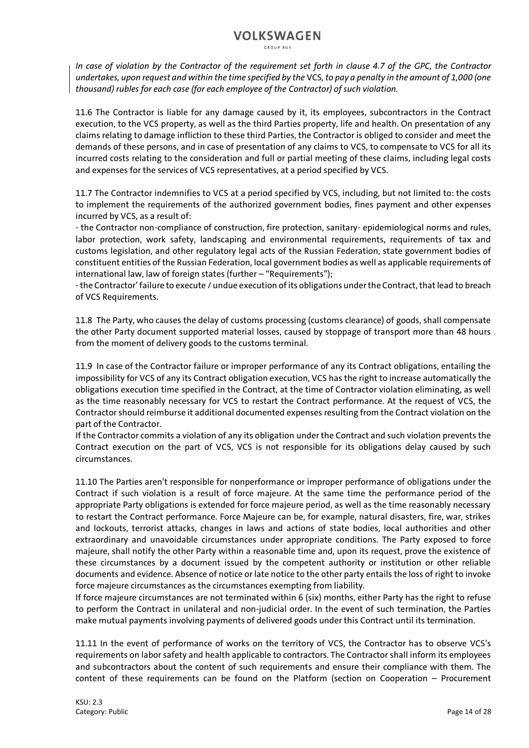GROUP RUS

*In case of violation by the Contractor of the requirement set forth in clause 4.7 of the GPC, the Contractor undertakes, upon request and within the time specified by the* VCS*, to pay a penalty in the amount of 1,000 (one thousand) rubles for each case (for each employee of the Contractor) of such violation.*

11.6 The Contractor is liable for any damage caused by it, its employees, subcontractors in the Contract execution, to the VCS property, as well as the third Parties property, life and health. On presentation of any claims relating to damage infliction to these third Parties, the Contractor is obliged to consider and meet the demands of these persons, and in case of presentation of any claims to VCS, to compensate to VCS for all its incurred costs relating to the consideration and full or partial meeting of these claims, including legal costs and expenses for the services of VCS representatives, at a period specified by VCS.

11.7 The Contractor indemnifies to VCS at a period specified by VCS, including, but not limited to: the costs to implement the requirements of the authorized government bodies, fines payment and other expenses incurred by VCS, as a result of:

- the Contractor non-compliance of construction, fire protection, sanitary- epidemiological norms and rules, labor protection, work safety, landscaping and environmental requirements, requirements of tax and customs legislation, and other regulatory legal acts of the Russian Federation, state government bodies of constituent entities of the Russian Federation, local government bodies as well as applicable requirements of international law, law of foreign states (further – "Requirements");

-the Contractor' failure to execute / undue execution of its obligations under the Contract, that lead to breach of VCS Requirements.

11.8 The Party, who causes the delay of customs processing (customs clearance) of goods, shall compensate the other Party document supported material losses, caused by stoppage of transport more than 48 hours from the moment of delivery goods to the customs terminal.

11.9 In case of the Contractor failure or improper performance of any its Contract obligations, entailing the impossibility for VCS of any its Contract obligation execution, VCS has the right to increase automatically the obligations execution time specified in the Contract, at the time of Contractor violation eliminating, as well as the time reasonably necessary for VCS to restart the Contract performance. At the request of VCS, the Contractor should reimburse it additional documented expenses resulting from the Contract violation on the part of the Contractor.

If the Contractor commits a violation of any its obligation under the Contract and such violation prevents the Contract execution on the part of VCS, VCS is not responsible for its obligations delay caused by such circumstances.

11.10 The Parties aren't responsible for nonperformance or improper performance of obligations under the Contract if such violation is a result of force majeure. At the same time the performance period of the appropriate Party obligations is extended for force majeure period, as well as the time reasonably necessary to restart the Contract performance. Force Majeure can be, for example, natural disasters, fire, war, strikes and lockouts, terrorist attacks, changes in laws and actions of state bodies, local authorities and other extraordinary and unavoidable circumstances under appropriate conditions. The Party exposed to force majeure, shall notify the other Party within a reasonable time and, upon its request, prove the existence of these circumstances by a document issued by the competent authority or institution or other reliable documents and evidence. Absence of notice or late notice to the other party entails the loss of right to invoke force majeure circumstances as the circumstances exempting from liability.

If force majeure circumstances are not terminated within 6 (six) months, either Party has the right to refuse to perform the Contract in unilateral and non-judicial order. In the event of such termination, the Parties make mutual payments involving payments of delivered goods under this Contract until its termination.

11.11 In the event of performance of works on the territory of VCS, the Contractor has to observe VCS's requirements on labor safety and health applicable to contractors. The Contractor shall inform its employees and subcontractors about the content of such requirements and ensure their compliance with them. The content of these requirements can be found on the Platform (section on Cooperation – Procurement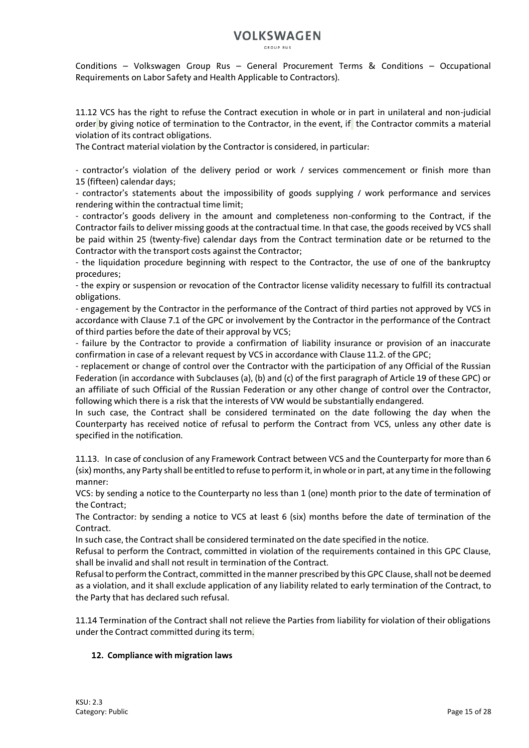CROUP RUS

Conditions – Volkswagen Group Rus – General Procurement Terms & Conditions – Occupational Requirements on Labor Safety and Health Applicable to Contractors).

11.12 VCS has the right to refuse the Contract execution in whole or in part in unilateral and non-judicial order by giving notice of termination to the Contractor, in the event, if the Contractor commits a material violation of its contract obligations.

The Contract material violation by the Contractor is considered, in particular:

- contractor's violation of the delivery period or work / services commencement or finish more than 15 (fifteen) calendar days;

- contractor's statements about the impossibility of goods supplying / work performance and services rendering within the contractual time limit;

- contractor's goods delivery in the amount and completeness non-conforming to the Contract, if the Contractor fails to deliver missing goods at the contractual time. In that case, the goods received by VCS shall be paid within 25 (twenty-five) calendar days from the Contract termination date or be returned to the Contractor with the transport costs against the Contractor;

- the liquidation procedure beginning with respect to the Contractor, the use of one of the bankruptcy procedures;

- the expiry or suspension or revocation of the Contractor license validity necessary to fulfill its contractual obligations.

- engagement by the Contractor in the performance of the Contract of third parties not approved by VCS in accordance with Clause 7.1 of the GPC or involvement by the Contractor in the performance of the Contract of third parties before the date of their approval by VCS;

- failure by the Contractor to provide a confirmation of liability insurance or provision of an inaccurate confirmation in case of a relevant request by VCS in accordance with Clause 11.2. of the GPC;

- replacement or change of control over the Contractor with the participation of any Official of the Russian Federation (in accordance with Subclauses (a), (b) and (c) of the first paragraph of Article 19 of these GPC) or an affiliate of such Official of the Russian Federation or any other change of control over the Contractor, following which there is a risk that the interests of VW would be substantially endangered.

In such case, the Contract shall be considered terminated on the date following the day when the Counterparty has received notice of refusal to perform the Contract from VCS, unless any other date is specified in the notification.

11.13. In case of conclusion of any Framework Contract between VCS and the Counterparty for more than 6 (six) months, any Party shall be entitled to refuse to perform it, in whole or in part, at any time in the following manner:

VCS: by sending a notice to the Counterparty no less than 1 (one) month prior to the date of termination of the Contract;

The Contractor: by sending a notice to VCS at least 6 (six) months before the date of termination of the Contract.

In such case, the Contract shall be considered terminated on the date specified in the notice.

Refusal to perform the Contract, committed in violation of the requirements contained in this GPC Clause, shall be invalid and shall not result in termination of the Contract.

Refusal to perform the Contract, committed in the manner prescribed by this GPC Clause, shall not be deemed as a violation, and it shall exclude application of any liability related to early termination of the Contract, to the Party that has declared such refusal.

11.14 Termination of the Contract shall not relieve the Parties from liability for violation of their obligations under the Contract committed during its term.

### **12. Compliance with migration laws**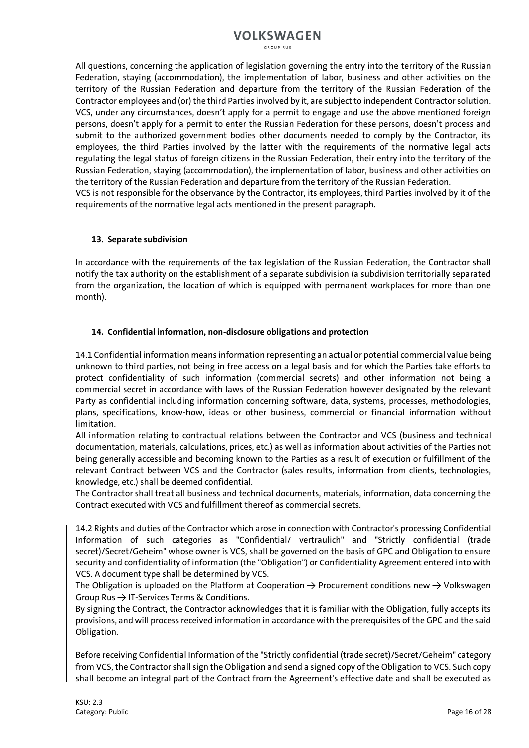GROUP RUS

All questions, concerning the application of legislation governing the entry into the territory of the Russian Federation, staying (accommodation), the implementation of labor, business and other activities on the territory of the Russian Federation and departure from the territory of the Russian Federation of the Contractor employees and (or) the third Parties involved by it, are subject to independent Contractor solution. VCS, under any circumstances, doesn't apply for a permit to engage and use the above mentioned foreign persons, doesn't apply for a permit to enter the Russian Federation for these persons, doesn't process and submit to the authorized government bodies other documents needed to comply by the Contractor, its employees, the third Parties involved by the latter with the requirements of the normative legal acts regulating the legal status of foreign citizens in the Russian Federation, their entry into the territory of the Russian Federation, staying (accommodation), the implementation of labor, business and other activities on the territory of the Russian Federation and departure from the territory of the Russian Federation. VCS is not responsible for the observance by the Contractor, its employees, third Parties involved by it of the requirements of the normative legal acts mentioned in the present paragraph.

### **13. Separate subdivision**

In accordance with the requirements of the tax legislation of the Russian Federation, the Contractor shall notify the tax authority on the establishment of a separate subdivision (a subdivision territorially separated from the organization, the location of which is equipped with permanent workplaces for more than one month).

### **14. Confidential information, non-disclosure obligations and protection**

14.1 Confidential information means information representing an actual or potential commercial value being unknown to third parties, not being in free access on a legal basis and for which the Parties take efforts to protect confidentiality of such information (commercial secrets) and other information not being a commercial secret in accordance with laws of the Russian Federation however designated by the relevant Party as confidential including information concerning software, data, systems, processes, methodologies, plans, specifications, know-how, ideas or other business, commercial or financial information without limitation.

All information relating to contractual relations between the Contractor and VCS (business and technical documentation, materials, calculations, prices, etc.) as well as information about activities of the Parties not being generally accessible and becoming known to the Parties as a result of execution or fulfillment of the relevant Contract between VCS and the Contractor (sales results, information from clients, technologies, knowledge, etc.) shall be deemed confidential.

The Contractor shall treat all business and technical documents, materials, information, data concerning the Contract executed with VCS and fulfillment thereof as commercial secrets.

14.2 Rights and duties of the Contractor which arose in connection with Contractor's processing Confidential Information of such categories as "Confidential/ vertraulich" and "Strictly confidential (trade secret)/Secret/Geheim" whose owner is VCS, shall be governed on the basis of GPC and Obligation to ensure security and confidentiality of information (the "Obligation") or Confidentiality Agreement entered into with VCS. A document type shall be determined by VCS.

The Obligation is uploaded on the Platform at Cooperation  $\rightarrow$  Procurement conditions new  $\rightarrow$  Volkswagen Group Rus → IT-Services Terms & Conditions.

By signing the Contract, the Contractor acknowledges that it is familiar with the Obligation, fully accepts its provisions, and will process received information in accordance with the prerequisites of the GPC and the said Obligation.

Before receiving Confidential Information of the "Strictly confidential (trade secret)/Secret/Geheim" category from VCS, the Contractor shall sign the Obligation and send a signed copy of the Obligation to VCS. Such copy shall become an integral part of the Contract from the Agreement's effective date and shall be executed as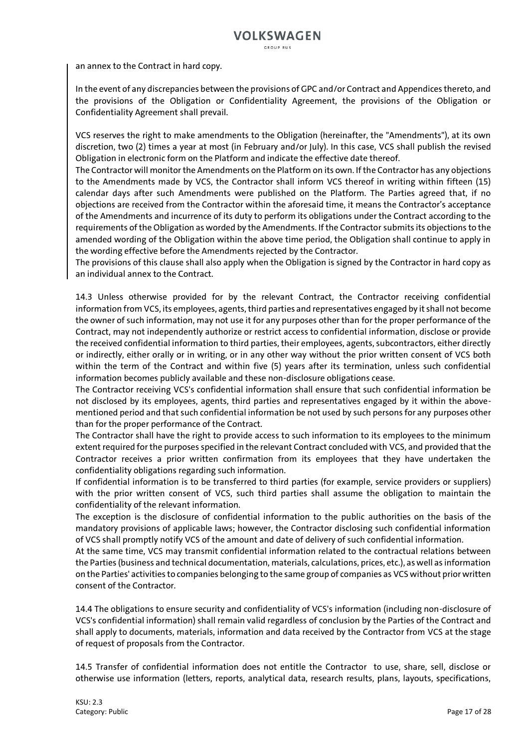an annex to the Contract in hard copy.

In the event of any discrepancies between the provisions of GPC and/or Contract and Appendices thereto, and the provisions of the Obligation or Confidentiality Agreement, the provisions of the Obligation or Confidentiality Agreement shall prevail.

VCS reserves the right to make amendments to the Obligation (hereinafter, the "Amendments"), at its own discretion, two (2) times a year at most (in February and/or July). In this case, VCS shall publish the revised Obligation in electronic form on the Platform and indicate the effective date thereof.

The Contractor will monitor the Amendments on the Platform on its own. If the Contractor has any objections to the Amendments made by VCS, the Contractor shall inform VCS thereof in writing within fifteen (15) calendar days after such Amendments were published on the Platform. The Parties agreed that, if no objections are received from the Contractor within the aforesaid time, it means the Contractor's acceptance of the Amendments and incurrence of its duty to perform its obligations under the Contract according to the requirements of the Obligation as worded by the Amendments. If the Contractor submits its objections to the amended wording of the Obligation within the above time period, the Obligation shall continue to apply in the wording effective before the Amendments rejected by the Contractor.

The provisions of this clause shall also apply when the Obligation is signed by the Contractor in hard copy as an individual annex to the Contract.

14.3 Unless otherwise provided for by the relevant Contract, the Contractor receiving confidential information from VCS, its employees, agents, third parties and representatives engaged by it shall not become the owner of such information, may not use it for any purposes other than for the proper performance of the Contract, may not independently authorize or restrict access to confidential information, disclose or provide the received confidential information to third parties, their employees, agents, subcontractors, either directly or indirectly, either orally or in writing, or in any other way without the prior written consent of VCS both within the term of the Contract and within five (5) years after its termination, unless such confidential information becomes publicly available and these non-disclosure obligations cease.

The Contractor receiving VCS's confidential information shall ensure that such confidential information be not disclosed by its employees, agents, third parties and representatives engaged by it within the abovementioned period and that such confidential information be not used by such persons for any purposes other than for the proper performance of the Contract.

The Contractor shall have the right to provide access to such information to its employees to the minimum extent required for the purposes specified in the relevant Contract concluded with VCS, and provided that the Contractor receives a prior written confirmation from its employees that they have undertaken the confidentiality obligations regarding such information.

If confidential information is to be transferred to third parties (for example, service providers or suppliers) with the prior written consent of VCS, such third parties shall assume the obligation to maintain the confidentiality of the relevant information.

The exception is the disclosure of confidential information to the public authorities on the basis of the mandatory provisions of applicable laws; however, the Contractor disclosing such confidential information of VCS shall promptly notify VCS of the amount and date of delivery of such confidential information.

At the same time, VCS may transmit confidential information related to the contractual relations between the Parties (business and technical documentation, materials, calculations, prices, etc.), as well as information on the Parties' activities to companies belonging to the same group of companies as VCS without prior written consent of the Contractor.

14.4 The obligations to ensure security and confidentiality of VCS's information (including non-disclosure of VCS's confidential information) shall remain valid regardless of conclusion by the Parties of the Contract and shall apply to documents, materials, information and data received by the Contractor from VCS at the stage of request of proposals from the Contractor.

14.5 Transfer of confidential information does not entitle the Contractor to use, share, sell, disclose or otherwise use information (letters, reports, analytical data, research results, plans, layouts, specifications,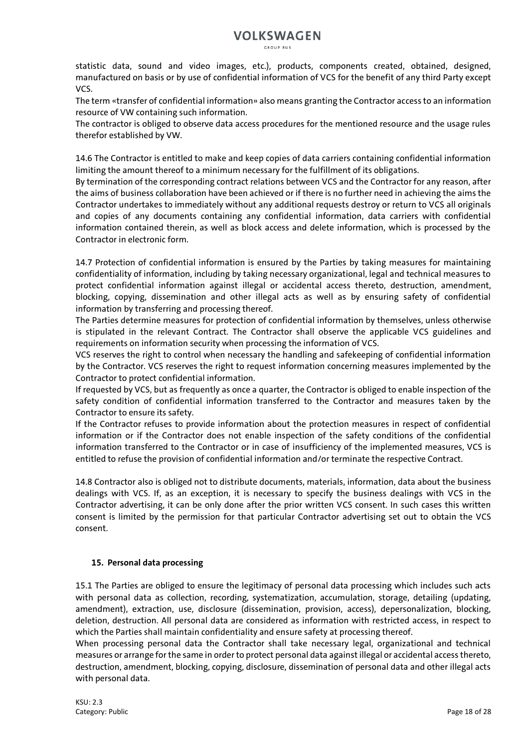GROUP RUS

statistic data, sound and video images, etc.), products, components created, obtained, designed, manufactured on basis or by use of confidential information of VCS for the benefit of any third Party except VCS.

The term «transfer of confidential information» also means granting the Contractor access to an information resource of VW containing such information.

The contractor is obliged to observe data access procedures for the mentioned resource and the usage rules therefor established by VW.

14.6 The Contractor is entitled to make and keep copies of data carriers containing confidential information limiting the amount thereof to a minimum necessary for the fulfillment of its obligations.

By termination of the corresponding contract relations between VCS and the Contractor for any reason, after the aims of business collaboration have been achieved or if there is no further need in achieving the aims the Contractor undertakes to immediately without any additional requests destroy or return to VCS all originals and copies of any documents containing any confidential information, data carriers with confidential information contained therein, as well as block access and delete information, which is processed by the Contractor in electronic form.

14.7 Protection of confidential information is ensured by the Parties by taking measures for maintaining confidentiality of information, including by taking necessary organizational, legal and technical measures to protect confidential information against illegal or accidental access thereto, destruction, amendment, blocking, copying, dissemination and other illegal acts as well as by ensuring safety of confidential information by transferring and processing thereof.

The Parties determine measures for protection of confidential information by themselves, unless otherwise is stipulated in the relevant Contract. The Contractor shall observe the applicable VCS guidelines and requirements on information security when processing the information of VCS.

VCS reserves the right to control when necessary the handling and safekeeping of confidential information by the Contractor. VCS reserves the right to request information concerning measures implemented by the Contractor to protect confidential information.

If requested by VCS, but as frequently as once a quarter, the Contractor is obliged to enable inspection of the safety condition of confidential information transferred to the Contractor and measures taken by the Contractor to ensure its safety.

If the Contractor refuses to provide information about the protection measures in respect of confidential information or if the Contractor does not enable inspection of the safety conditions of the confidential information transferred to the Contractor or in case of insufficiency of the implemented measures, VCS is entitled to refuse the provision of confidential information and/or terminate the respective Contract.

14.8 Contractor also is obliged not to distribute documents, materials, information, data about the business dealings with VCS. If, as an exception, it is necessary to specify the business dealings with VCS in the Contractor advertising, it can be only done after the prior written VCS consent. In such cases this written consent is limited by the permission for that particular Contractor advertising set out to obtain the VCS consent.

### **15. Personal data processing**

15.1 The Parties are obliged to ensure the legitimacy of personal data processing which includes such acts with personal data as collection, recording, systematization, accumulation, storage, detailing (updating, amendment), extraction, use, disclosure (dissemination, provision, access), depersonalization, blocking, deletion, destruction. All personal data are considered as information with restricted access, in respect to which the Parties shall maintain confidentiality and ensure safety at processing thereof.

When processing personal data the Contractor shall take necessary legal, organizational and technical measures or arrange for the same in order to protect personal data against illegal or accidental access thereto, destruction, amendment, blocking, copying, disclosure, dissemination of personal data and other illegal acts with personal data.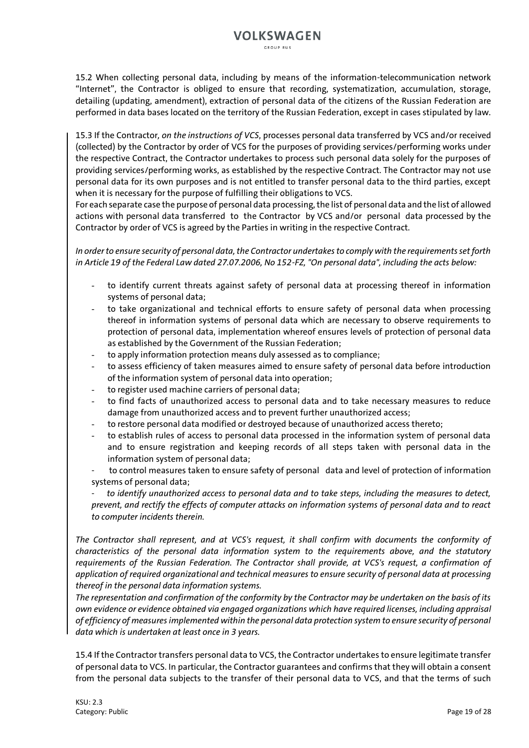GROUP RUS

15.2 When collecting personal data, including by means of the information-telecommunication network "Internet", the Contractor is obliged to ensure that recording, systematization, accumulation, storage, detailing (updating, amendment), extraction of personal data of the citizens of the Russian Federation are performed in data bases located on the territory of the Russian Federation, except in cases stipulated by law.

15.3 If the Contractor*, on the instructions of VCS*, processes personal data transferred by VCS and/or received (collected) by the Contractor by order of VCS for the purposes of providing services/performing works under the respective Contract, the Contractor undertakes to process such personal data solely for the purposes of providing services/performing works, as established by the respective Contract. The Contractor may not use personal data for its own purposes and is not entitled to transfer personal data to the third parties, except when it is necessary for the purpose of fulfilling their obligations to VCS.

For each separate case the purpose of personal data processing, the list of personal data and the list of allowed actions with personal data transferred to the Contractor by VCS and/or personal data processed by the Contractor by order of VCS is agreed by the Parties in writing in the respective Contract.

*In order to ensure security of personal data, the Contractor undertakes to comply with the requirements set forth in Article 19 of the Federal Law dated 27.07.2006, No 152-FZ, "On personal data", including the acts below:*

- to identify current threats against safety of personal data at processing thereof in information systems of personal data;
- to take organizational and technical efforts to ensure safety of personal data when processing thereof in information systems of personal data which are necessary to observe requirements to protection of personal data, implementation whereof ensures levels of protection of personal data as established by the Government of the Russian Federation;
- to apply information protection means duly assessed as to compliance;
- to assess efficiency of taken measures aimed to ensure safety of personal data before introduction of the information system of personal data into operation;
- to register used machine carriers of personal data;
- to find facts of unauthorized access to personal data and to take necessary measures to reduce damage from unauthorized access and to prevent further unauthorized access;
- to restore personal data modified or destroyed because of unauthorized access thereto;
- to establish rules of access to personal data processed in the information system of personal data and to ensure registration and keeping records of all steps taken with personal data in the information system of personal data;
- to control measures taken to ensure safety of personal data and level of protection of information systems of personal data;

- *to identify unauthorized access to personal data and to take steps, including the measures to detect, prevent, and rectify the effects of computer attacks on information systems of personal data and to react to computer incidents therein.*

*The Contractor shall represent, and at VCS's request, it shall confirm with documents the conformity of characteristics of the personal data information system to the requirements above, and the statutory requirements of the Russian Federation. The Contractor shall provide, at VCS's request, a confirmation of application of required organizational and technical measures to ensure security of personal data at processing thereof in the personal data information systems.*

*The representation and confirmation of the conformity by the Contractor may be undertaken on the basis of its own evidence or evidence obtained via engaged organizations which have required licenses, including appraisal of efficiency of measures implemented within the personal data protection system to ensure security of personal data which is undertaken at least once in 3 years.*

15.4 If the Contractor transfers personal data to VCS, the Contractor undertakes to ensure legitimate transfer of personal data to VCS. In particular, the Contractor guarantees and confirms that they will obtain a consent from the personal data subjects to the transfer of their personal data to VCS, and that the terms of such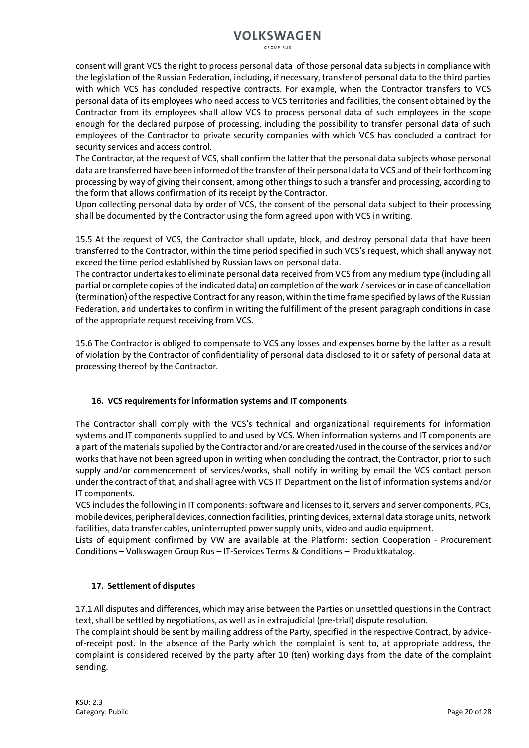GROUP RUS

consent will grant VCS the right to process personal data of those personal data subjects in compliance with the legislation of the Russian Federation, including, if necessary, transfer of personal data to the third parties with which VCS has concluded respective contracts. For example, when the Contractor transfers to VCS personal data of its employees who need access to VCS territories and facilities, the consent obtained by the Contractor from its employees shall allow VCS to process personal data of such employees in the scope enough for the declared purpose of processing, including the possibility to transfer personal data of such employees of the Contractor to private security companies with which VCS has concluded a contract for security services and access control.

The Contractor, at the request of VCS, shall confirm the latter that the personal data subjects whose personal data are transferred have been informed of the transfer of their personal data to VCS and of their forthcoming processing by way of giving their consent, among other things to such a transfer and processing, according to the form that allows confirmation of its receipt by the Contractor.

Upon collecting personal data by order of VCS, the consent of the personal data subject to their processing shall be documented by the Contractor using the form agreed upon with VCS in writing.

15.5 At the request of VCS, the Contractor shall update, block, and destroy personal data that have been transferred to the Contractor, within the time period specified in such VCS's request, which shall anyway not exceed the time period established by Russian laws on personal data.

The contractor undertakes to eliminate personal data received from VCS from any medium type (including all partial or complete copies of the indicated data) on completion of the work / services or in case of cancellation (termination) of the respective Contract for any reason, within the time frame specified by laws of the Russian Federation, and undertakes to confirm in writing the fulfillment of the present paragraph conditions in case of the appropriate request receiving from VCS.

15.6 The Contractor is obliged to compensate to VCS any losses and expenses borne by the latter as a result of violation by the Contractor of confidentiality of personal data disclosed to it or safety of personal data at processing thereof by the Contractor.

### **16. VCS requirements for information systems and IT components**

The Contractor shall comply with the VCS's technical and organizational requirements for information systems and IT components supplied to and used by VCS. When information systems and IT components are a part of the materials supplied by the Contractor and/or are created/used in the course of the services and/or works that have not been agreed upon in writing when concluding the contract, the Contractor, prior to such supply and/or commencement of services/works, shall notify in writing by email the VCS contact person under the contract of that, and shall agree with VCS IT Department on the list of information systems and/or IT components.

VCS includes the following in IT components: software and licenses to it, servers and server components, PCs, mobile devices, peripheral devices, connection facilities, printing devices, external data storage units, network facilities, data transfer cables, uninterrupted power supply units, video and audio equipment.

Lists of equipment confirmed by VW are available at the Platform: section Cooperation - Procurement Conditions – Volkswagen Group Rus – IT-Services Terms & Conditions – Produktkatalog.

### **17. Settlement of disputes**

17.1 All disputes and differences, which may arise between the Parties on unsettled questions in the Contract text, shall be settled by negotiations, as well as in extrajudicial (pre-trial) dispute resolution.

The complaint should be sent by mailing address of the Party, specified in the respective Contract, by adviceof-receipt post. In the absence of the Party which the complaint is sent to, at appropriate address, the complaint is considered received by the party after 10 (ten) working days from the date of the complaint sending.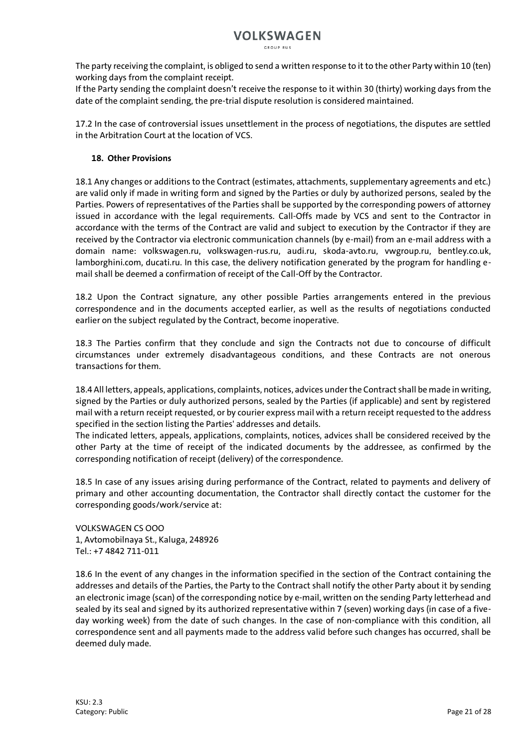The party receiving the complaint, is obliged to send a written response to it to the other Party within 10 (ten) working days from the complaint receipt.

If the Party sending the complaint doesn't receive the response to it within 30 (thirty) working days from the date of the complaint sending, the pre-trial dispute resolution is considered maintained.

17.2 In the case of controversial issues unsettlement in the process of negotiations, the disputes are settled in the Arbitration Court at the location of VCS.

### **18. Other Provisions**

18.1 Any changes or additions to the Contract (estimates, attachments, supplementary agreements and etc.) are valid only if made in writing form and signed by the Parties or duly by authorized persons, sealed by the Parties. Powers of representatives of the Parties shall be supported by the corresponding powers of attorney issued in accordance with the legal requirements. Call-Offs made by VCS and sent to the Contractor in accordance with the terms of the Contract are valid and subject to execution by the Contractor if they are received by the Contractor via electronic communication channels (by e-mail) from an e-mail address with a domain name: volkswagen.ru, volkswagen-rus.ru, audi.ru, skoda-avto.ru, vwgroup.ru, bentley.co.uk, lamborghini.com, ducati.ru. In this case, the delivery notification generated by the program for handling email shall be deemed a confirmation of receipt of the Call-Off by the Contractor.

18.2 Upon the Contract signature, any other possible Parties arrangements entered in the previous correspondence and in the documents accepted earlier, as well as the results of negotiations conducted earlier on the subject regulated by the Contract, become inoperative.

18.3 The Parties confirm that they conclude and sign the Contracts not due to concourse of difficult circumstances under extremely disadvantageous conditions, and these Contracts are not onerous transactions for them.

18.4 All letters, appeals, applications, complaints, notices, advices under the Contract shall be made in writing, signed by the Parties or duly authorized persons, sealed by the Parties (if applicable) and sent by registered mail with a return receipt requested, or by courier express mail with a return receipt requested to the address specified in the section listing the Parties' addresses and details.

The indicated letters, appeals, applications, complaints, notices, advices shall be considered received by the other Party at the time of receipt of the indicated documents by the addressee, as confirmed by the corresponding notification of receipt (delivery) of the correspondence.

18.5 In case of any issues arising during performance of the Contract, related to payments and delivery of primary and other accounting documentation, the Contractor shall directly contact the customer for the corresponding goods/work/service at:

VOLKSWAGEN CS OOO 1, Avtomobilnaya St., Kaluga, 248926  $Tel \cdot +7 4842 711 - 011$ 

18.6 In the event of any changes in the information specified in the section of the Contract containing the addresses and details of the Parties, the Party to the Contract shall notify the other Party about it by sending an electronic image (scan) of the corresponding notice by e-mail, written on the sending Party letterhead and sealed by its seal and signed by its authorized representative within 7 (seven) working days (in case of a fiveday working week) from the date of such changes. In the case of non-compliance with this condition, all correspondence sent and all payments made to the address valid before such changes has occurred, shall be deemed duly made.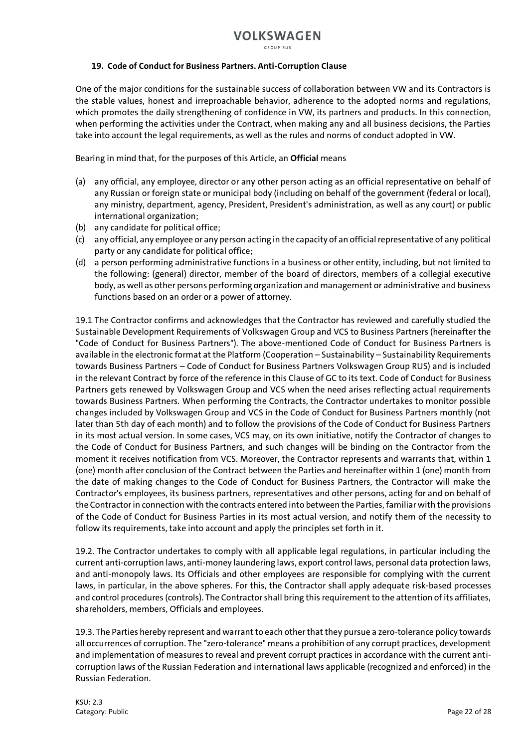### **19. Code of Conduct for Business Partners. Anti-Corruption Clause**

One of the major conditions for the sustainable success of collaboration between VW and its Contractors is the stable values, honest and irreproachable behavior, adherence to the adopted norms and regulations, which promotes the daily strengthening of confidence in VW, its partners and products. In this connection, when performing the activities under the Contract, when making any and all business decisions, the Parties take into account the legal requirements, as well as the rules and norms of conduct adopted in VW.

Bearing in mind that, for the purposes of this Article, an **Official** means

- (а) any official, any employee, director or any other person acting as an official representative on behalf of any Russian or foreign state or municipal body (including on behalf of the government (federal or local), any ministry, department, agency, President, President's administration, as well as any court) or public international organization;
- (b) any candidate for political office;
- (c) any official, any employee or any person acting in the capacity of an official representative of any political party or any candidate for political office;
- (d) a person performing administrative functions in a business or other entity, including, but not limited to the following: (general) director, member of the board of directors, members of a collegial executive body, as well as other persons performing organization and management or administrative and business functions based on an order or a power of attorney.

19.1 The Contractor confirms and acknowledges that the Contractor has reviewed and carefully studied the Sustainable Development Requirements of Volkswagen Group and VCS to Business Partners (hereinafter the "Code of Conduct for Business Partners"). The above-mentioned Code of Conduct for Business Partners is available in the electronic format at the Platform (Cooperation – Sustainability – Sustainability Requirements towards Business Partners – Code of Conduct for Business Partners Volkswagen Group RUS) and is included in the relevant Contract by force of the reference in this Clause of GC to its text. Code of Conduct for Business Partners gets renewed by Volkswagen Group and VCS when the need arises reflecting actual requirements towards Business Partners. When performing the Contracts, the Contractor undertakes to monitor possible changes included by Volkswagen Group and VCS in the Code of Conduct for Business Partners monthly (not later than 5th day of each month) and to follow the provisions of the Code of Conduct for Business Partners in its most actual version. In some cases, VCS may, on its own initiative, notify the Contractor of changes to the Code of Conduct for Business Partners, and such changes will be binding on the Contractor from the moment it receives notification from VCS. Moreover, the Contractor represents and warrants that, within 1 (one) month after conclusion of the Contract between the Parties and hereinafter within 1 (one) month from the date of making changes to the Code of Conduct for Business Partners, the Contractor will make the Contractor's employees, its business partners, representatives and other persons, acting for and on behalf of the Contractor in connection with the contracts entered into between the Parties, familiar with the provisions of the Code of Conduct for Business Parties in its most actual version, and notify them of the necessity to follow its requirements, take into account and apply the principles set forth in it.

19.2. The Contractor undertakes to comply with all applicable legal regulations, in particular including the current anti-corruption laws, anti-money laundering laws, export control laws, personal data protection laws, and anti-monopoly laws. Its Officials and other employees are responsible for complying with the current laws, in particular, in the above spheres. For this, the Contractor shall apply adequate risk-based processes and control procedures (controls). The Contractor shall bring this requirement to the attention of its affiliates, shareholders, members, Officials and employees.

19.3. The Parties hereby represent and warrant to each other that they pursue a zero-tolerance policy towards all occurrences of corruption. The "zero-tolerance" means a prohibition of any corrupt practices, development and implementation of measures to reveal and prevent corrupt practices in accordance with the current anticorruption laws of the Russian Federation and international laws applicable (recognized and enforced) in the Russian Federation.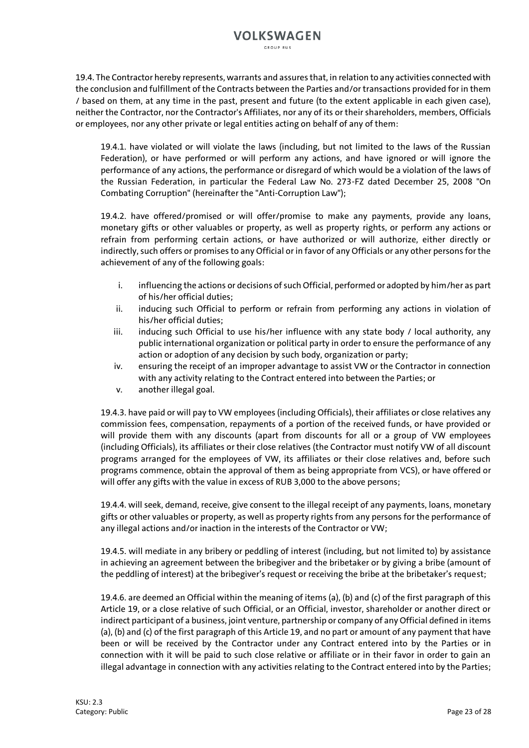19.4. The Contractor hereby represents, warrants and assures that, in relation to any activities connected with the conclusion and fulfillment of the Contracts between the Parties and/or transactions provided for in them / based on them, at any time in the past, present and future (to the extent applicable in each given case), neither the Contractor, nor the Contractor's Affiliates, nor any of its or their shareholders, members, Officials or employees, nor any other private or legal entities acting on behalf of any of them:

19.4.1. have violated or will violate the laws (including, but not limited to the laws of the Russian Federation), or have performed or will perform any actions, and have ignored or will ignore the performance of any actions, the performance or disregard of which would be a violation of the laws of the Russian Federation, in particular the Federal Law No. 273-FZ dated December 25, 2008 "On Combating Corruption" (hereinafter the "Anti-Corruption Law");

19.4.2. have offered/promised or will offer/promise to make any payments, provide any loans, monetary gifts or other valuables or property, as well as property rights, or perform any actions or refrain from performing certain actions, or have authorized or will authorize, either directly or indirectly, such offers or promises to any Official or in favor of any Officials or any other persons for the achievement of any of the following goals:

- i. influencing the actions or decisions of such Official, performed or adopted by him/her as part of his/her official duties;
- ii. inducing such Official to perform or refrain from performing any actions in violation of his/her official duties;
- iii. inducing such Official to use his/her influence with any state body / local authority, any public international organization or political party in order to ensure the performance of any action or adoption of any decision by such body, organization or party;
- iv. ensuring the receipt of an improper advantage to assist VW or the Contractor in connection with any activity relating to the Contract entered into between the Parties; or
- v. another illegal goal.

19.4.3. have paid or will pay to VW employees (including Officials), their affiliates or close relatives any commission fees, compensation, repayments of a portion of the received funds, or have provided or will provide them with any discounts (apart from discounts for all or a group of VW employees (including Officials), its affiliates or their close relatives (the Contractor must notify VW of all discount programs arranged for the employees of VW, its affiliates or their close relatives and, before such programs commence, obtain the approval of them as being appropriate from VCS), or have offered or will offer any gifts with the value in excess of RUB 3,000 to the above persons;

19.4.4. will seek, demand, receive, give consent to the illegal receipt of any payments, loans, monetary gifts or other valuables or property, as well as property rights from any persons for the performance of any illegal actions and/or inaction in the interests of the Contractor or VW;

19.4.5. will mediate in any bribery or peddling of interest (including, but not limited to) by assistance in achieving an agreement between the bribegiver and the bribetaker or by giving a bribe (amount of the peddling of interest) at the bribegiver's request or receiving the bribe at the bribetaker's request;

19.4.6. are deemed an Official within the meaning of items (a), (b) and (c) of the first paragraph of this Article 19, or a close relative of such Official, or an Official, investor, shareholder or another direct or indirect participant of a business, joint venture, partnership or company of any Official defined in items (a), (b) and (c) of the first paragraph of this Article 19, and no part or amount of any payment that have been or will be received by the Contractor under any Contract entered into by the Parties or in connection with it will be paid to such close relative or affiliate or in their favor in order to gain an illegal advantage in connection with any activities relating to the Contract entered into by the Parties;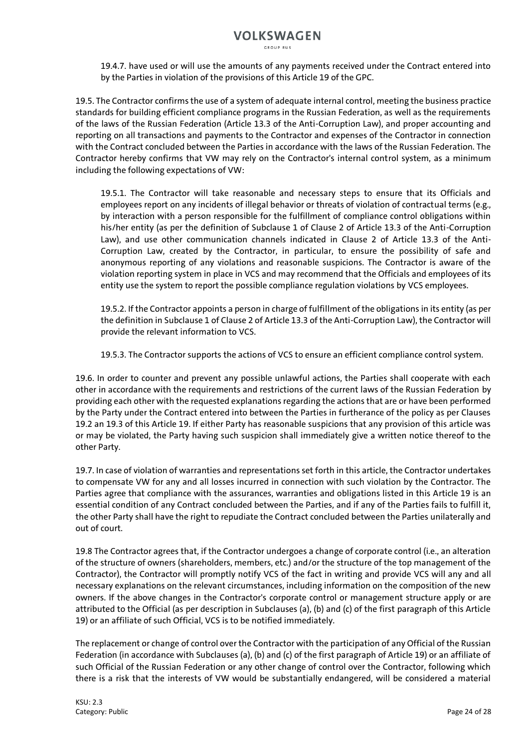19.4.7. have used or will use the amounts of any payments received under the Contract entered into by the Parties in violation of the provisions of this Article 19 of the GPC.

19.5. The Contractor confirms the use of a system of adequate internal control, meeting the business practice standards for building efficient compliance programs in the Russian Federation, as well as the requirements of the laws of the Russian Federation (Article 13.3 of the Anti-Corruption Law), and proper accounting and reporting on all transactions and payments to the Contractor and expenses of the Contractor in connection with the Contract concluded between the Parties in accordance with the laws of the Russian Federation. The Contractor hereby confirms that VW may rely on the Contractor's internal control system, as a minimum including the following expectations of VW:

19.5.1. The Contractor will take reasonable and necessary steps to ensure that its Officials and employees report on any incidents of illegal behavior or threats of violation of contractual terms (e.g., by interaction with a person responsible for the fulfillment of compliance control obligations within his/her entity (as per the definition of Subclause 1 of Clause 2 of Article 13.3 of the Anti-Corruption Law), and use other communication channels indicated in Clause 2 of Article 13.3 of the Anti-Corruption Law, created by the Contractor, in particular, to ensure the possibility of safe and anonymous reporting of any violations and reasonable suspicions. The Contractor is aware of the violation reporting system in place in VCS and may recommend that the Officials and employees of its entity use the system to report the possible compliance regulation violations by VCS employees.

19.5.2. If the Contractor appoints a person in charge of fulfillment of the obligations in its entity (as per the definition in Subclause 1 of Clause 2 of Article 13.3 of the Anti-Corruption Law), the Contractor will provide the relevant information to VCS.

19.5.3. The Contractor supports the actions of VCS to ensure an efficient compliance control system.

19.6. In order to counter and prevent any possible unlawful actions, the Parties shall cooperate with each other in accordance with the requirements and restrictions of the current laws of the Russian Federation by providing each other with the requested explanations regarding the actions that are or have been performed by the Party under the Contract entered into between the Parties in furtherance of the policy as per Clauses 19.2 an 19.3 of this Article 19. If either Party has reasonable suspicions that any provision of this article was or may be violated, the Party having such suspicion shall immediately give a written notice thereof to the other Party.

19.7. In case of violation of warranties and representations set forth in this article, the Contractor undertakes to compensate VW for any and all losses incurred in connection with such violation by the Contractor. The Parties agree that compliance with the assurances, warranties and obligations listed in this Article 19 is an essential condition of any Contract concluded between the Parties, and if any of the Parties fails to fulfill it, the other Party shall have the right to repudiate the Contract concluded between the Parties unilaterally and out of court.

19.8 The Contractor agrees that, if the Contractor undergoes a change of corporate control (i.e., an alteration of the structure of owners (shareholders, members, etc.) and/or the structure of the top management of the Contractor), the Contractor will promptly notify VCS of the fact in writing and provide VCS will any and all necessary explanations on the relevant circumstances, including information on the composition of the new owners. If the above changes in the Contractor's corporate control or management structure apply or are attributed to the Official (as per description in Subclauses (a), (b) and (c) of the first paragraph of this Article 19) or an affiliate of such Official, VCS is to be notified immediately.

The replacement or change of control over the Contractor with the participation of any Official of the Russian Federation (in accordance with Subclauses (a), (b) and (c) of the first paragraph of Article 19) or an affiliate of such Official of the Russian Federation or any other change of control over the Contractor, following which there is a risk that the interests of VW would be substantially endangered, will be considered a material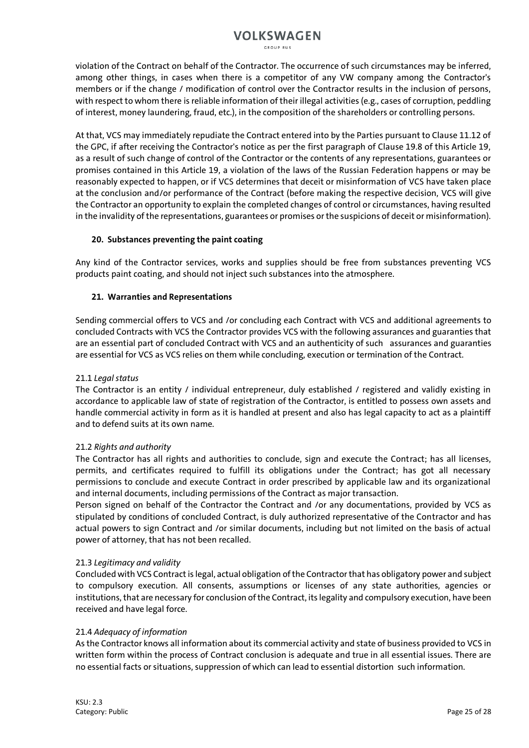GROUP RUS

violation of the Contract on behalf of the Contractor. The occurrence of such circumstances may be inferred, among other things, in cases when there is a competitor of any VW company among the Contractor's members or if the change / modification of control over the Contractor results in the inclusion of persons, with respect to whom there is reliable information of their illegal activities (e.g., cases of corruption, peddling of interest, money laundering, fraud, etc.), in the composition of the shareholders or controlling persons.

At that, VCS may immediately repudiate the Contract entered into by the Parties pursuant to Clause 11.12 of the GPC, if after receiving the Contractor's notice as per the first paragraph of Clause 19.8 of this Article 19, as a result of such change of control of the Contractor or the contents of any representations, guarantees or promises contained in this Article 19, a violation of the laws of the Russian Federation happens or may be reasonably expected to happen, or if VCS determines that deceit or misinformation of VCS have taken place at the conclusion and/or performance of the Contract (before making the respective decision, VCS will give the Contractor an opportunity to explain the completed changes of control or circumstances, having resulted in the invalidity ofthe representations, guarantees or promises or the suspicions of deceit or misinformation).

### **20. Substances preventing the paint coating**

Any kind of the Contractor services, works and supplies should be free from substances preventing VCS products paint coating, and should not inject such substances into the atmosphere.

### **21. Warranties and Representations**

Sending commercial offers to VCS and /or concluding each Contract with VCS and additional agreements to concluded Contracts with VCS the Contractor provides VCS with the following assurances and guaranties that are an essential part of concluded Contract with VCS and an authenticity of such assurances and guaranties are essential for VCS as VCS relies on them while concluding, execution or termination of the Contract.

### 21.1 *Legal status*

The Contractor is an entity / individual entrepreneur, duly established / registered and validly existing in accordance to applicable law of state of registration of the Contractor, is entitled to possess own assets and handle commercial activity in form as it is handled at present and also has legal capacity to act as a plaintiff and to defend suits at its own name.

### 21.2 *Rights and authority*

The Contractor has all rights and authorities to conclude, sign and execute the Contract; has all licenses, permits, and certificates required to fulfill its obligations under the Contract; has got all necessary permissions to conclude and execute Contract in order prescribed by applicable law and its organizational and internal documents, including permissions of the Contract as major transaction.

Person signed on behalf of the Contractor the Contract and /or any documentations, provided by VCS as stipulated by conditions of concluded Contract, is duly authorized representative of the Contractor and has actual powers to sign Contract and /or similar documents, including but not limited on the basis of actual power of attorney, that has not been recalled.

### 21.3 *Legitimacy and validity*

Concluded with VCS Contract is legal, actual obligation of the Contractor that has obligatory power and subject to compulsory execution. All consents, assumptions or licenses of any state authorities, agencies or institutions, that are necessary for conclusion of the Contract, its legality and compulsory execution, have been received and have legal force.

### 21.4 *Adequacy of information*

As the Contractor knows all information about its commercial activity and state of business provided to VCS in written form within the process of Contract conclusion is adequate and true in all essential issues. There are no essential facts or situations, suppression of which can lead to essential distortion such information.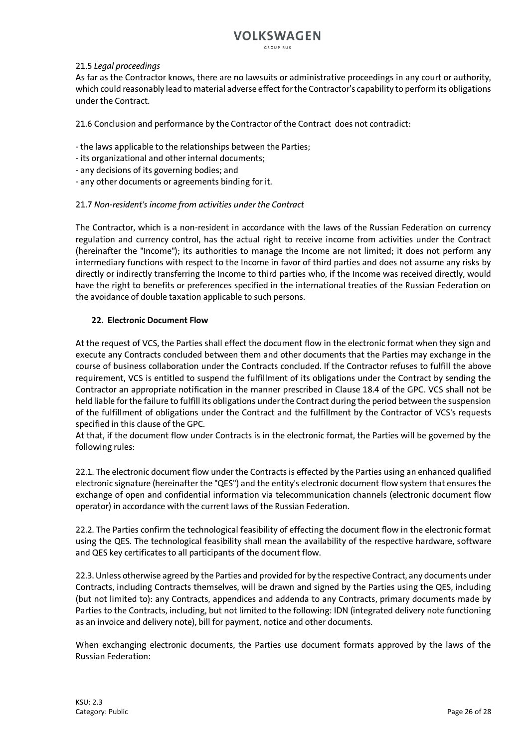GROUP RUS

#### 21.5 *Legal proceedings*

As far as the Contractor knows, there are no lawsuits or administrative proceedings in any court or authority, which could reasonably lead to material adverse effect for the Contractor's capability to perform its obligations under the Contract.

21.6 Conclusion and performance by the Contractor of the Contract does not contradict:

- the laws applicable to the relationships between the Parties;

- its organizational and other internal documents;
- any decisions of its governing bodies; and
- any other documents or agreements binding for it.

### 21.7 *Non-resident's income from activities under the Contract*

The Contractor, which is a non-resident in accordance with the laws of the Russian Federation on currency regulation and currency control, has the actual right to receive income from activities under the Contract (hereinafter the "Income"); its authorities to manage the Income are not limited; it does not perform any intermediary functions with respect to the Income in favor of third parties and does not assume any risks by directly or indirectly transferring the Income to third parties who, if the Income was received directly, would have the right to benefits or preferences specified in the international treaties of the Russian Federation on the avoidance of double taxation applicable to such persons.

### **22. Electronic Document Flow**

At the request of VCS, the Parties shall effect the document flow in the electronic format when they sign and execute any Contracts concluded between them and other documents that the Parties may exchange in the course of business collaboration under the Contracts concluded. If the Contractor refuses to fulfill the above requirement, VCS is entitled to suspend the fulfillment of its obligations under the Contract by sending the Contractor an appropriate notification in the manner prescribed in Clause 18.4 of the GPC. VCS shall not be held liable for the failure to fulfill its obligations under the Contract during the period between the suspension of the fulfillment of obligations under the Contract and the fulfillment by the Contractor of VCS's requests specified in this clause of the GPC.

At that, if the document flow under Contracts is in the electronic format, the Parties will be governed by the following rules:

22.1. The electronic document flow under the Contracts is effected by the Parties using an enhanced qualified electronic signature (hereinafter the "QES") and the entity's electronic document flow system that ensures the exchange of open and confidential information via telecommunication channels (electronic document flow operator) in accordance with the current laws of the Russian Federation.

22.2. The Parties confirm the technological feasibility of effecting the document flow in the electronic format using the QES. The technological feasibility shall mean the availability of the respective hardware, software and QES key certificates to all participants of the document flow.

22.3. Unless otherwise agreed by the Parties and provided for by the respective Contract, any documents under Contracts, including Contracts themselves, will be drawn and signed by the Parties using the QES, including (but not limited to): any Contracts, appendices and addenda to any Contracts, primary documents made by Parties to the Contracts, including, but not limited to the following: IDN (integrated delivery note functioning as an invoice and delivery note), bill for payment, notice and other documents.

When exchanging electronic documents, the Parties use document formats approved by the laws of the Russian Federation: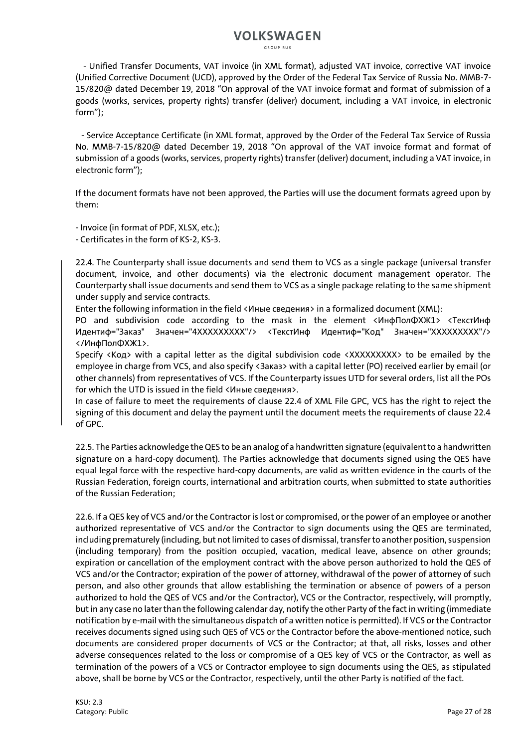GROUP RUS

 - Unified Transfer Documents, VAT invoice (in XML format), adjusted VAT invoice, corrective VAT invoice (Unified Corrective Document (UCD), approved by the Order of the Federal Tax Service of Russia No. ММВ-7- 15/820@ dated December 19, 2018 "On approval of the VAT invoice format and format of submission of a goods (works, services, property rights) transfer (deliver) document, including a VAT invoice, in electronic form");

 - Service Acceptance Certificate (in XML format, approved by the Order of the Federal Tax Service of Russia No. ММВ-7-15/820@ dated December 19, 2018 "On approval of the VAT invoice format and format of submission of a goods (works, services, property rights) transfer (deliver) document, including a VAT invoice, in electronic form");

If the document formats have not been approved, the Parties will use the document formats agreed upon by them:

- Invoice (in format of PDF, XLSX, etc.);

- Certificates in the form of КS-2, КS-3.

22.4. The Counterparty shall issue documents and send them to VCS as a single package (universal transfer document, invoice, and other documents) via the electronic document management operator. The Counterparty shall issue documents and send them to VCS as a single package relating to the same shipment under supply and service contracts.

Enter the following information in the field <Иные сведения> in a formalized document (XML):

PO and subdivision code according to the mask in the element <ИнфПолФХЖ1> <ТекстИнф Идентиф="Заказ" Значен="4ХХХХХХХХХ"/> <ТекстИнф Идентиф="Код" Значен="ХХХХХХХХХ"/> </ИнфПолФХЖ1>.

Specify <Код> with a capital letter as the digital subdivision code <XXXXXXXXX to be emailed by the employee in charge from VCS, and also specify <Заказ> with a capital letter (PO) received earlier by email (or other channels) from representatives of VCS. If the Counterparty issues UTD for several orders, list all the POs for which the UTD is issued in the field <Иные сведения>.

In case of failure to meet the requirements of clause 22.4 of XML File GPC, VCS has the right to reject the signing of this document and delay the payment until the document meets the requirements of clause 22.4 of GPC.

22.5. The Parties acknowledge the QES to be an analog of a handwritten signature (equivalent to a handwritten signature on a hard-copy document). The Parties acknowledge that documents signed using the QES have equal legal force with the respective hard-copy documents, are valid as written evidence in the courts of the Russian Federation, foreign courts, international and arbitration courts, when submitted to state authorities of the Russian Federation;

22.6. If a QES key of VCS and/or the Contractor is lost or compromised, or the power of an employee or another authorized representative of VCS and/or the Contractor to sign documents using the QES are terminated, including prematurely (including, but not limited to cases of dismissal, transfer to another position, suspension (including temporary) from the position occupied, vacation, medical leave, absence on other grounds; expiration or cancellation of the employment contract with the above person authorized to hold the QES of VCS and/or the Contractor; expiration of the power of attorney, withdrawal of the power of attorney of such person, and also other grounds that allow establishing the termination or absence of powers of a person authorized to hold the QES of VCS and/or the Contractor), VCS or the Contractor, respectively, will promptly, but in any case no later than the following calendar day, notify the other Party of the fact in writing (immediate notification by e-mail with the simultaneous dispatch of a written notice is permitted). If VCS or the Contractor receives documents signed using such QES of VCS or the Contractor before the above-mentioned notice, such documents are considered proper documents of VCS or the Contractor; at that, all risks, losses and other adverse consequences related to the loss or compromise of a QES key of VCS or the Contractor, as well as termination of the powers of a VCS or Contractor employee to sign documents using the QES, as stipulated above, shall be borne by VCS or the Contractor, respectively, until the other Party is notified of the fact.